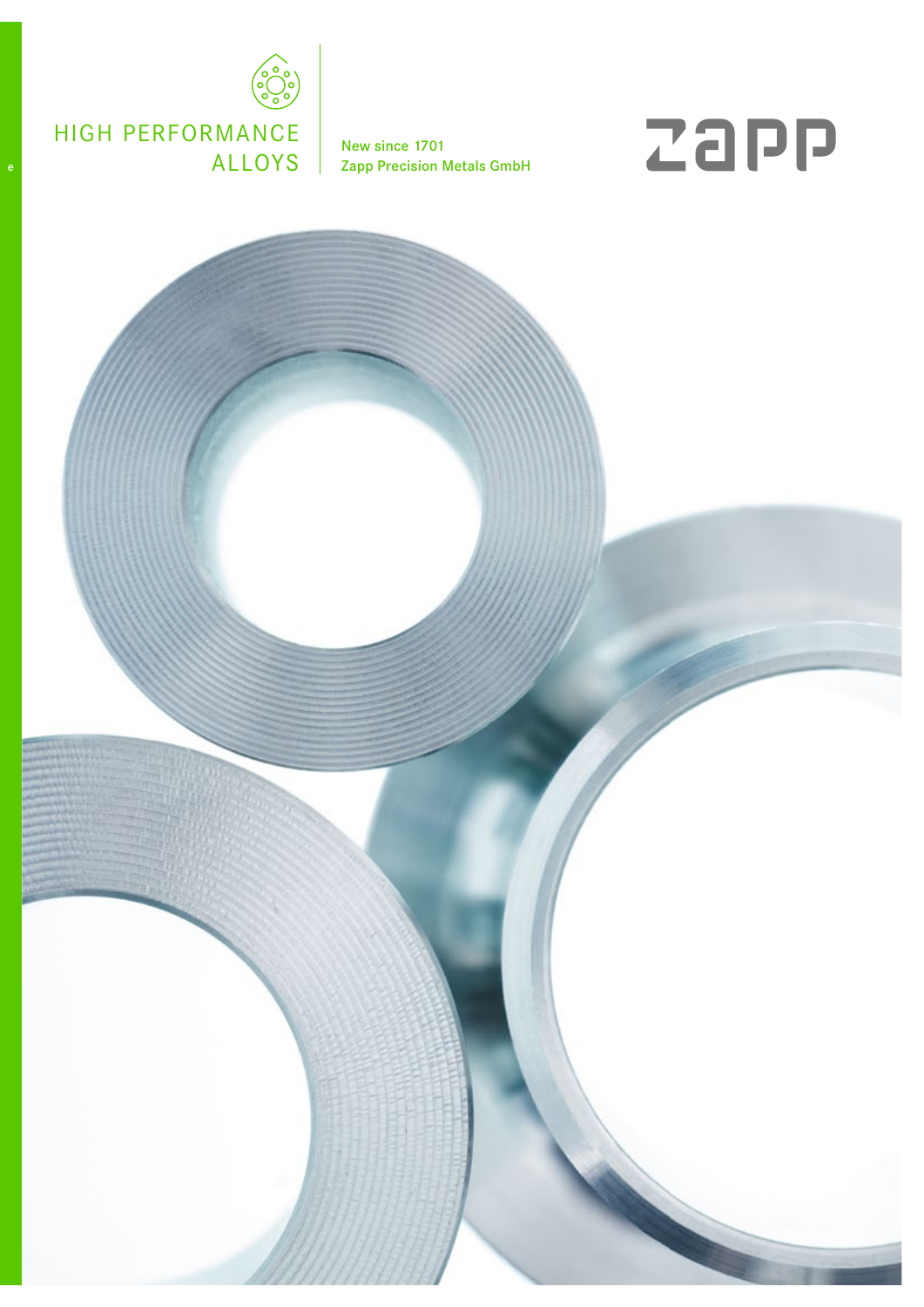

ALLOYS

e

New since 1701 Zapp Precision Metals GmbH

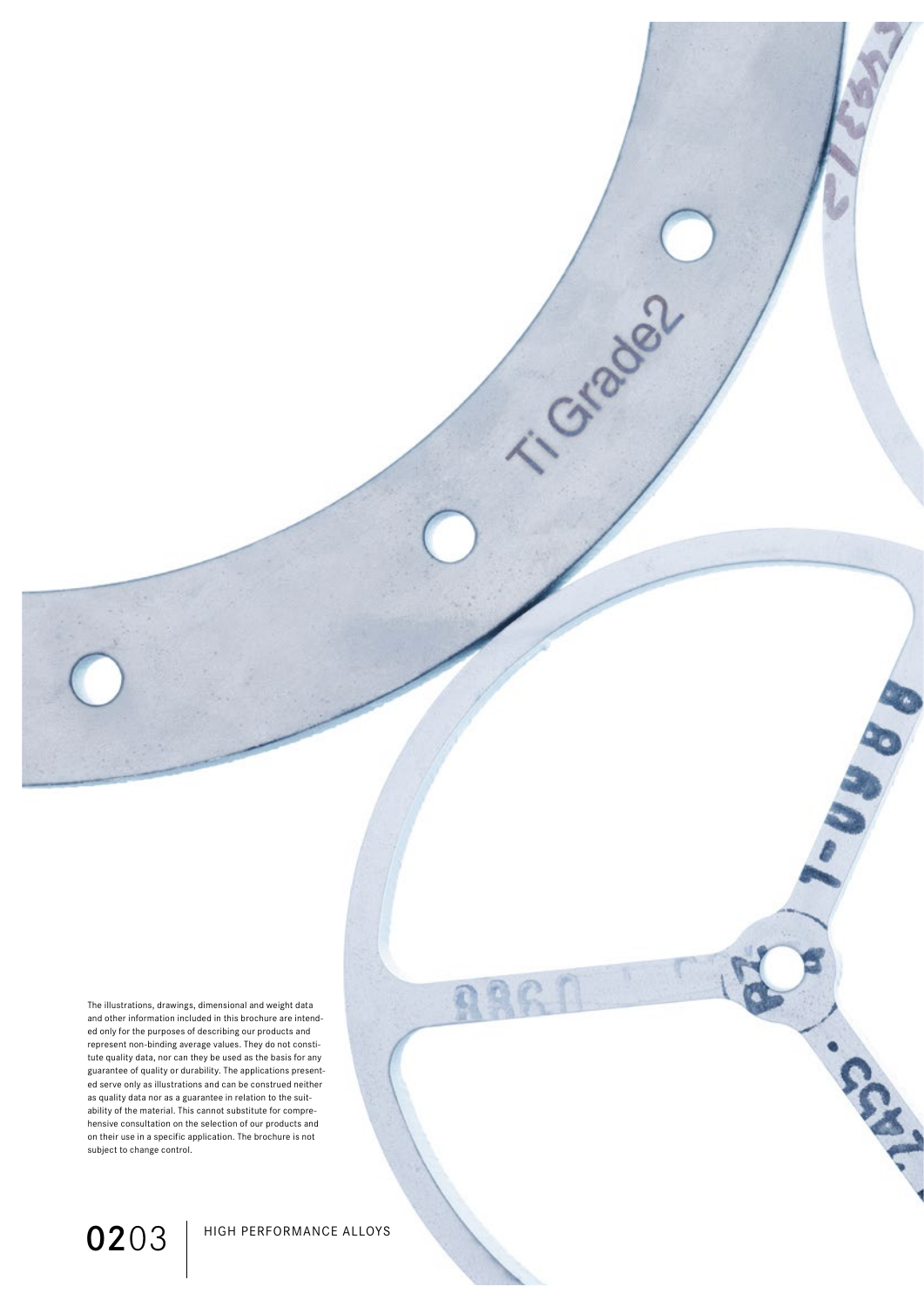The illustrations, drawings, dimensional and weight data and other information included in this brochure are intended only for the purposes of describing our products and represent non-binding average values. They do not constitute quality data, nor can they be used as the basis for any guarantee of quality or durability. The applications presented serve only as illustrations and can be construed neither as quality data nor as a guarantee in relation to the suitability of the material. This cannot substitute for comprehensive consultation on the selection of our products and on their use in a specific application. The brochure is not subject to change control.

Traced

CERT.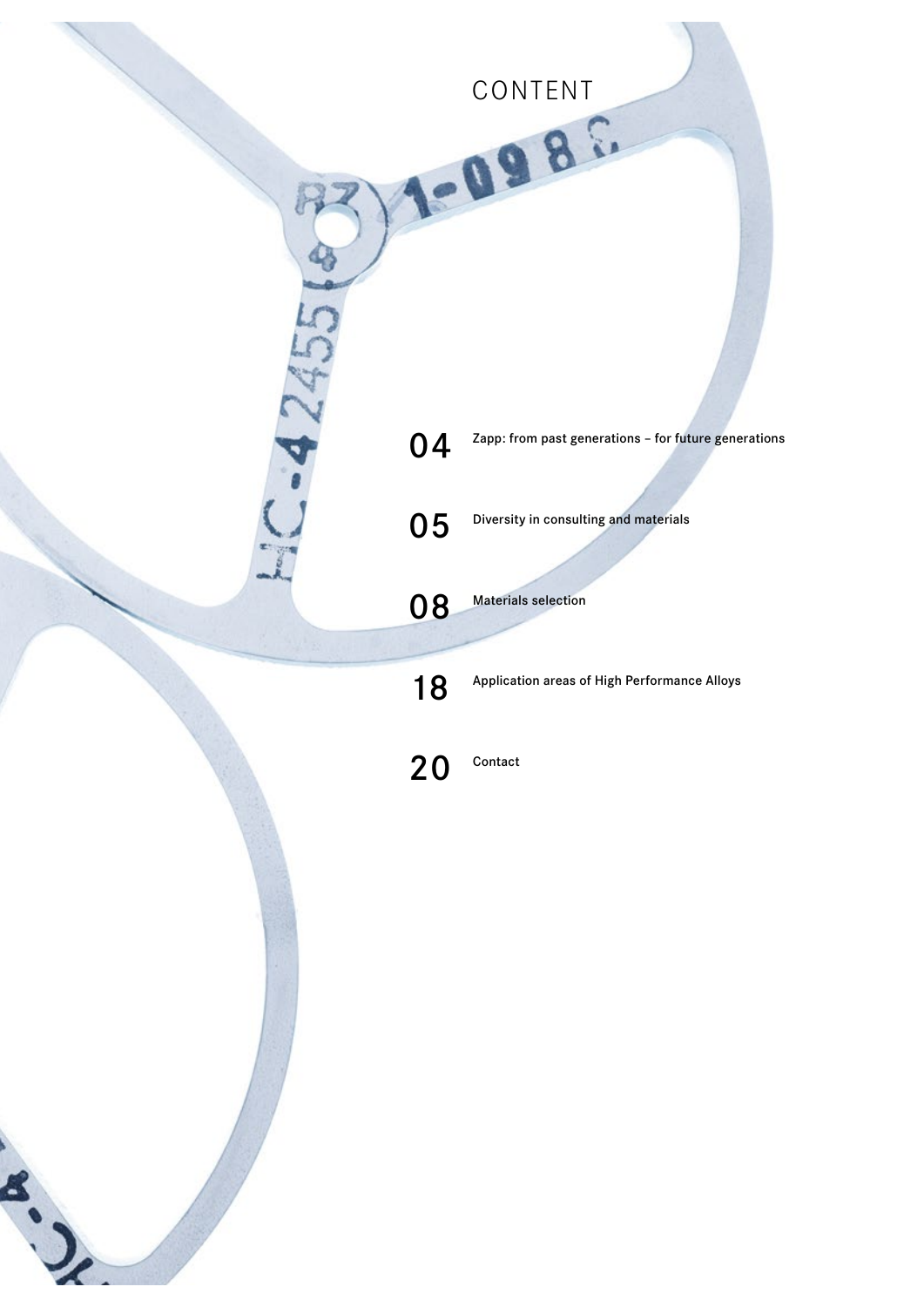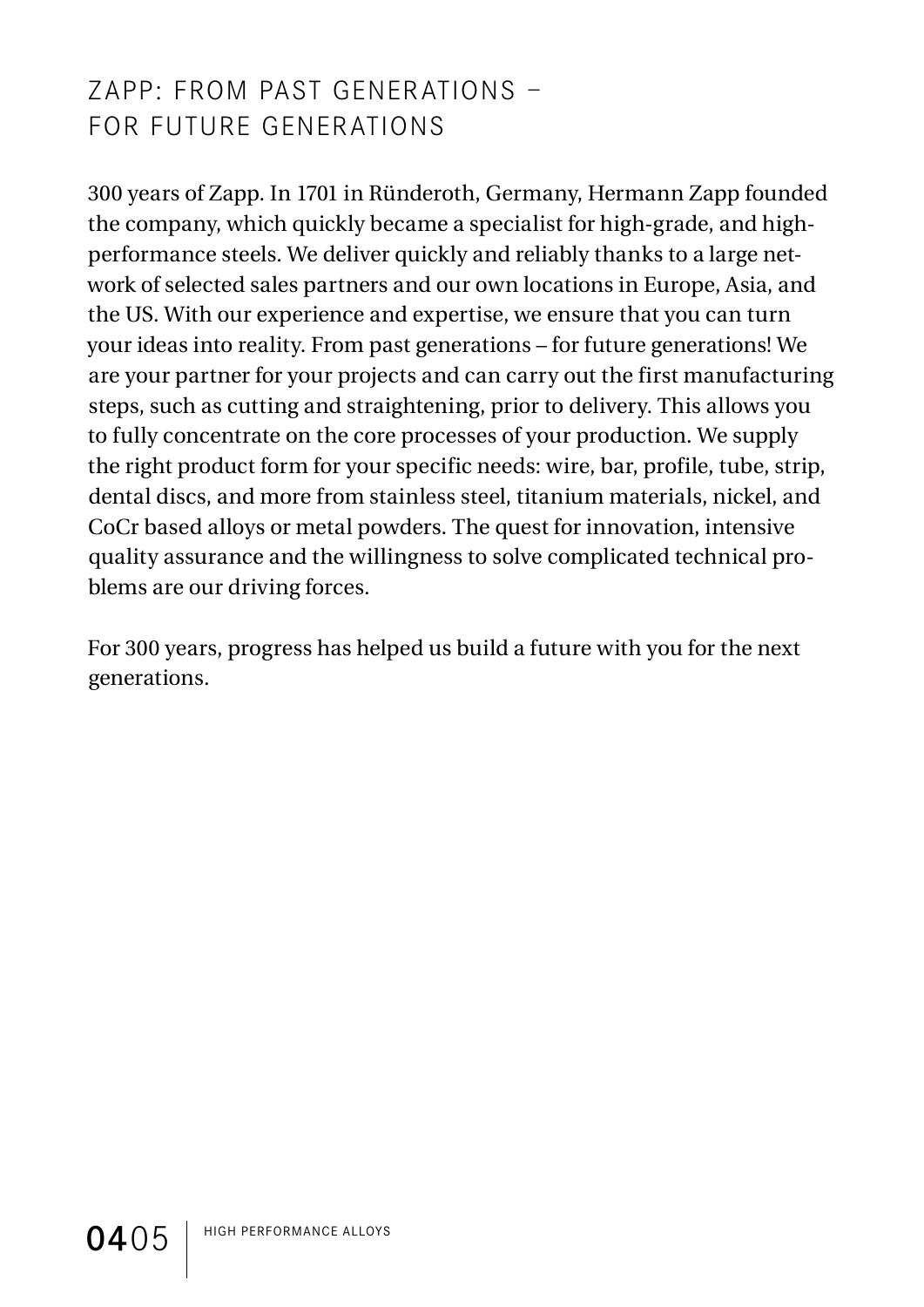# ZAPP: FROM PAST GENERATIONS – FOR FUTURE GENERATIONS

300 years of Zapp. In 1701 in Ründeroth, Germany, Hermann Zapp founded the company, which quickly became a specialist for high-grade, and highperformance steels. We deliver quickly and reliably thanks to a large network of selected sales partners and our own locations in Europe, Asia, and the US. With our experience and expertise, we ensure that you can turn your ideas into reality. From past generations – for future generations! We are your partner for your projects and can carry out the first manufacturing steps, such as cutting and straightening, prior to delivery. This allows you to fully concentrate on the core processes of your production. We supply the right product form for your specific needs: wire, bar, profile, tube, strip, dental discs, and more from stainless steel, titanium materials, nickel, and CoCr based alloys or metal powders. The quest for innovation, intensive quality assurance and the willingness to solve complicated technical problems are our driving forces.

For 300 years, progress has helped us build a future with you for the next generations.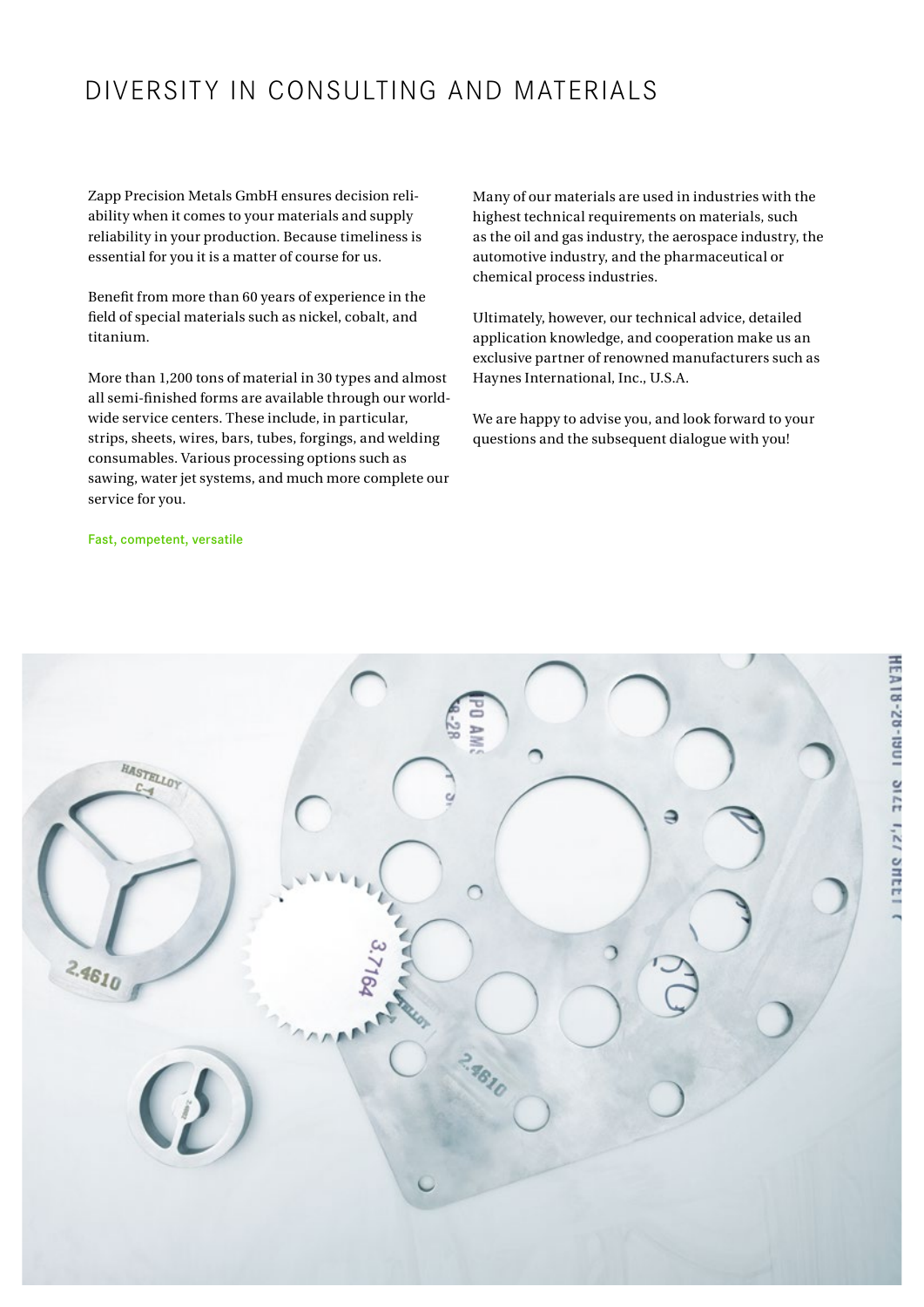### DIVERSITY IN CONSULTING AND MATERIALS

Zapp Precision Metals GmbH ensures decision reliability when it comes to your materials and supply reliability in your production. Because timeliness is essential for you it is a matter of course for us.

Benefit from more than 60 years of experience in the field of special materials such as nickel, cobalt, and titanium.

More than 1,200 tons of material in 30 types and almost all semi-finished forms are available through our worldwide service centers. These include, in particular, strips, sheets, wires, bars, tubes, forgings, and welding consumables. Various processing options such as sawing, water jet systems, and much more complete our service for you.

#### Fast, competent, versatile

Many of our materials are used in industries with the highest technical requirements on materials, such as the oil and gas industry, the aerospace industry, the automotive industry, and the pharmaceutical or chemical process industries.

Ultimately, however, our technical advice, detailed application knowledge, and cooperation make us an exclusive partner of renowned manufacturers such as Haynes International, Inc., U.S.A.

We are happy to advise you, and look forward to your questions and the subsequent dialogue with you!

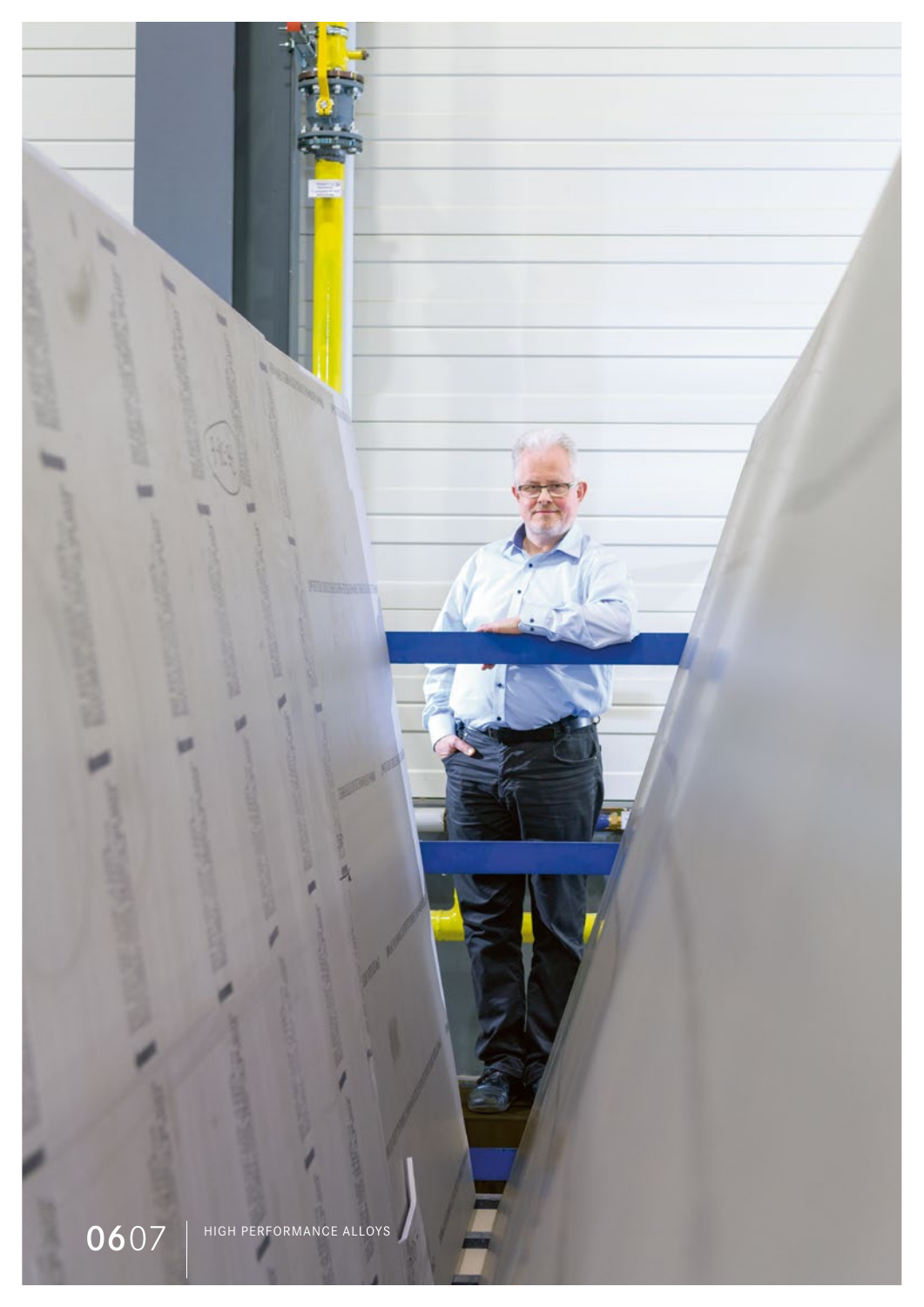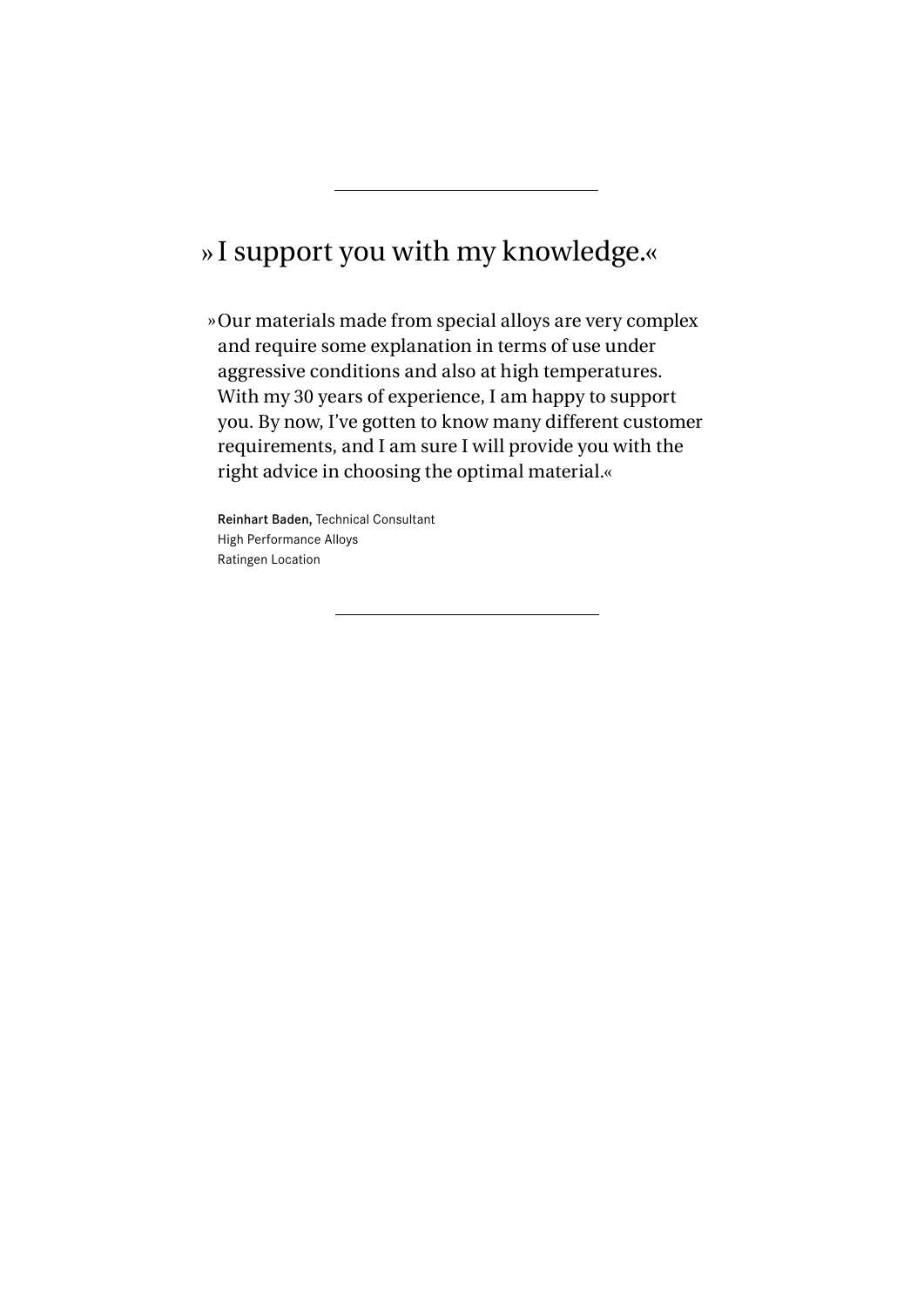#### I support you with my knowledge.« »

Our materials made from special alloys are very complex »and require some explanation in terms of use under aggressive conditions and also at high temperatures. With my 30 years of experience, I am happy to support you. By now, I've gotten to know many different customer requirements, and I am sure I will provide you with the right advice in choosing the optimal material.«

Reinhart Baden, Technical Consultant High Performance Alloys Ratingen Location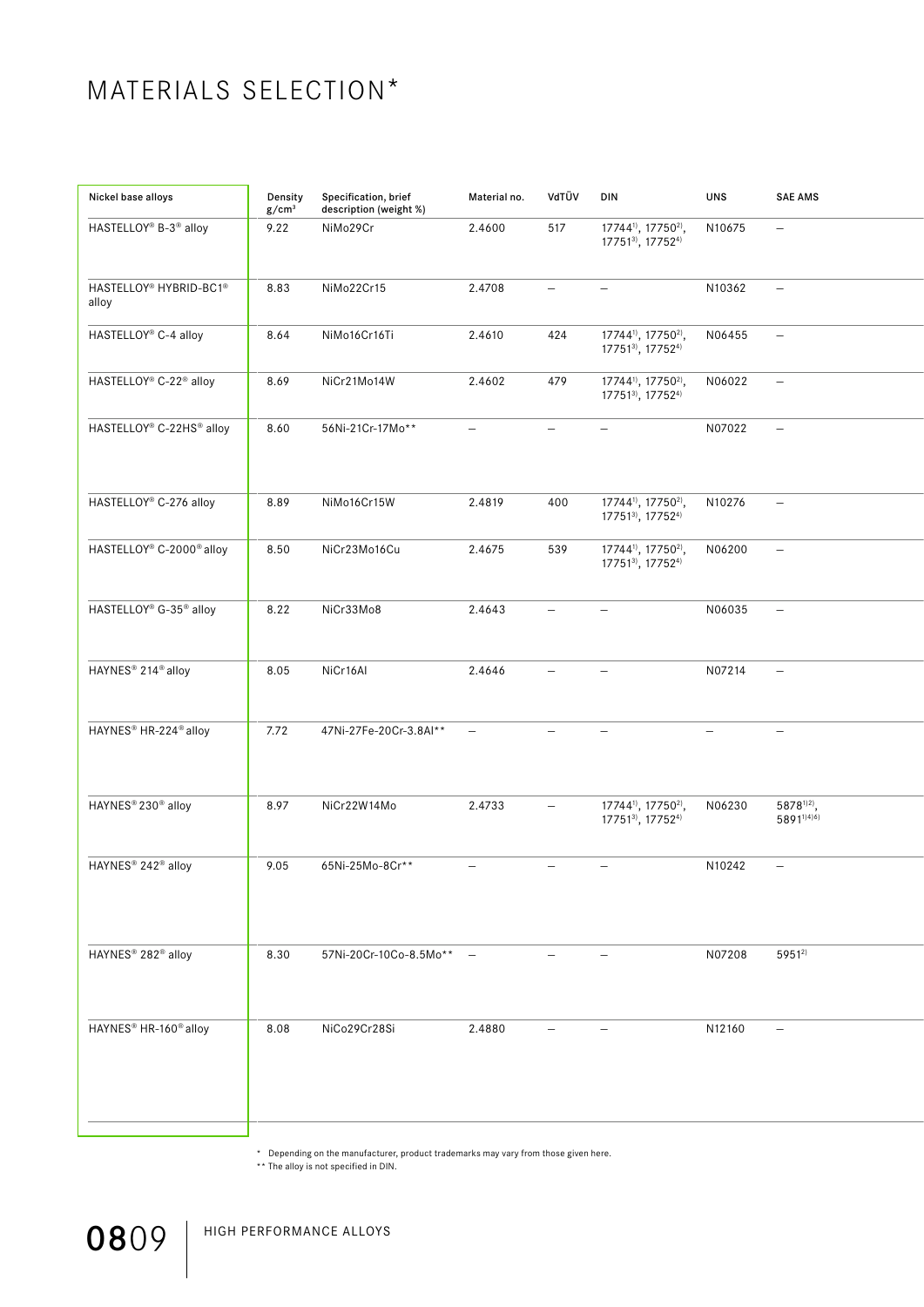## MATERIALS SELECTION\*

| Nickel base alloys                            | Density<br>g/cm <sup>3</sup> | Specification, brief<br>description (weight %) | Material no.             | VdTÜV             | DIN                                                             | <b>UNS</b> | <b>SAE AMS</b>           |
|-----------------------------------------------|------------------------------|------------------------------------------------|--------------------------|-------------------|-----------------------------------------------------------------|------------|--------------------------|
| HASTELLOY® B-3® alloy                         | 9.22                         | NiMo29Cr                                       | 2.4600                   | 517               | 17744 <sup>1)</sup> , 17750 <sup>2)</sup> ,<br>177513), 177524) | N10675     | $\qquad \qquad -$        |
| HASTELLOY® HYBRID-BC1®<br>alloy               | 8.83                         | NiMo22Cr15                                     | 2.4708                   | $\qquad \qquad -$ |                                                                 | N10362     | $\overline{\phantom{0}}$ |
| HASTELLOY® C-4 alloy                          | 8.64                         | NiMo16Cr16Ti                                   | 2.4610                   | 424               | 17744 <sup>1)</sup> , 17750 <sup>2)</sup> ,<br>177513), 177524) | N06455     | $\overline{\phantom{0}}$ |
| HASTELLOY® C-22® alloy                        | 8.69                         | NiCr21Mo14W                                    | 2.4602                   | 479               | 17744 <sup>1</sup> , 17750 <sup>2</sup> ,<br>177513), 177524)   | N06022     | $\qquad \qquad -$        |
| HASTELLOY® C-22HS® alloy                      | 8.60                         | 56Ni-21Cr-17Mo**                               | $\overline{\phantom{0}}$ |                   |                                                                 | N07022     | $\overline{\phantom{0}}$ |
| HASTELLOY® C-276 alloy                        | 8.89                         | NiMo16Cr15W                                    | 2.4819                   | 400               | 17744 <sup>1)</sup> , 17750 <sup>2)</sup> ,<br>177513), 177524) | N10276     | $\overline{\phantom{0}}$ |
| HASTELLOY® C-2000® alloy                      | 8.50                         | NiCr23Mo16Cu                                   | 2.4675                   | 539               | 17744 <sup>1</sup> , 17750 <sup>2</sup> ,<br>177513), 177524)   | N06200     | $\overline{\phantom{0}}$ |
| HASTELLOY® G-35® alloy                        | 8.22                         | NiCr33Mo8                                      | 2.4643                   |                   |                                                                 | N06035     | $\overline{\phantom{0}}$ |
| HAYNES® 214® alloy                            | 8.05                         | NiCr16Al                                       | 2.4646                   |                   |                                                                 | N07214     | $\overline{\phantom{0}}$ |
| HAYNES <sup>®</sup> HR-224 <sup>®</sup> alloy | 7.72                         | 47Ni-27Fe-20Cr-3.8Al**                         | $\overline{\phantom{m}}$ |                   |                                                                 |            | $\overline{\phantom{0}}$ |
| HAYNES® 230® alloy                            | 8.97                         | NiCr22W14Mo                                    | 2.4733                   |                   | 17744 <sup>1)</sup> , 17750 <sup>2)</sup> ,<br>177513), 177524) | N06230     | 58781)2),<br>58911)4)6)  |
| HAYNES® 242® alloy                            | 9.05                         | 65Ni-25Mo-8Cr**                                | $\overline{\phantom{0}}$ |                   |                                                                 | N10242     | $\overline{\phantom{m}}$ |
| HAYNES® 282® alloy                            | 8.30                         | 57Ni-20Cr-10Co-8.5Mo**                         | $\overline{\phantom{a}}$ |                   |                                                                 | N07208     | 59512)                   |
| HAYNES® HR-160® alloy                         | 8.08                         | NiCo29Cr28Si                                   | 2.4880                   |                   |                                                                 | N12160     |                          |

\* Depending on the manufacturer, product trademarks may vary from those given here.

\*\* The alloy is not specified in DIN.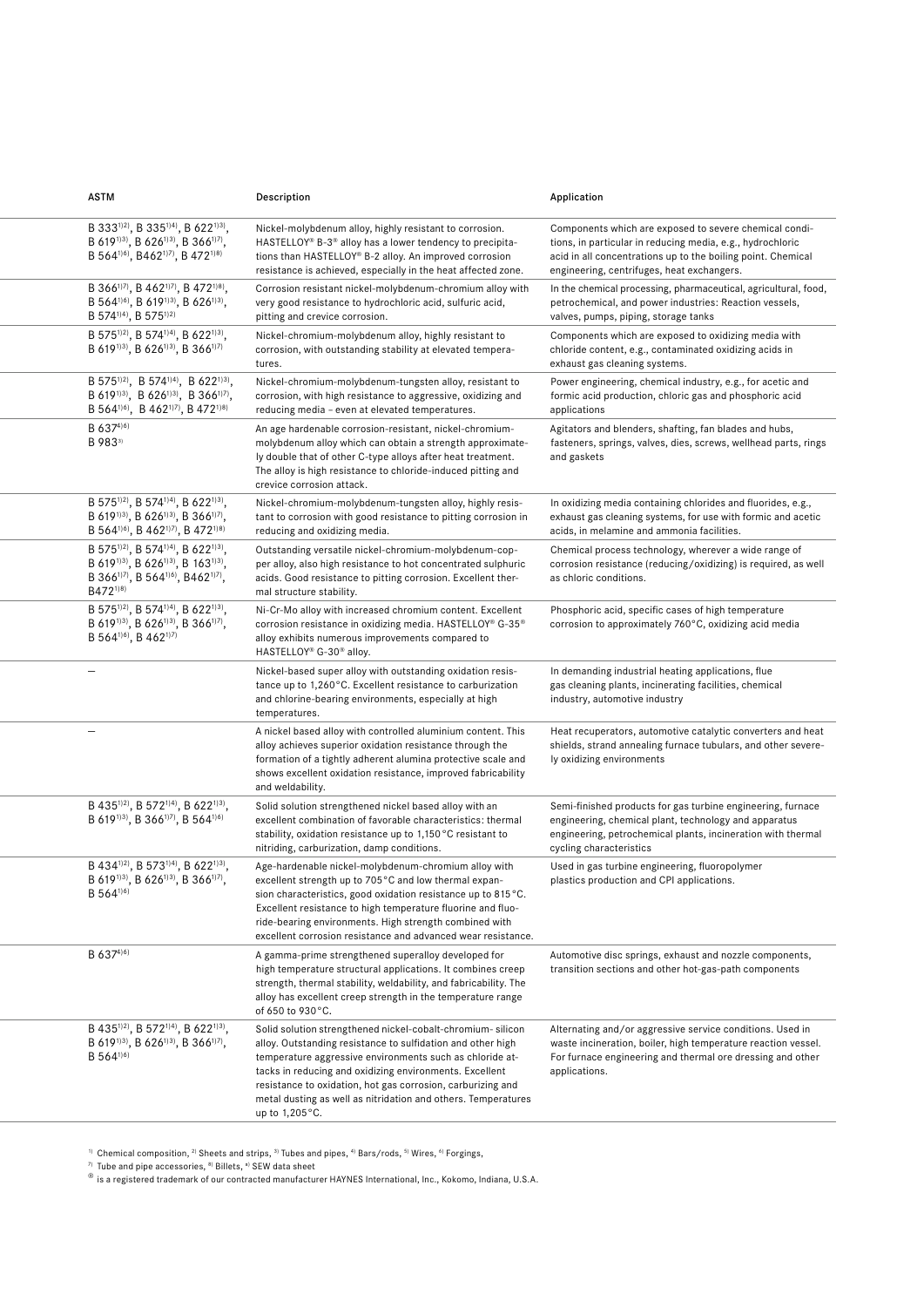| <b>ASTM</b>                                                                                                                                                                                                                                          | Description                                                                                                                                                                                                                                                                                                                                                                                         | Application                                                                                                                                                                                                                        |
|------------------------------------------------------------------------------------------------------------------------------------------------------------------------------------------------------------------------------------------------------|-----------------------------------------------------------------------------------------------------------------------------------------------------------------------------------------------------------------------------------------------------------------------------------------------------------------------------------------------------------------------------------------------------|------------------------------------------------------------------------------------------------------------------------------------------------------------------------------------------------------------------------------------|
| B 333 <sup>1)2)</sup> , B 335 <sup>1)4)</sup> , B 622 <sup>1)3)</sup> ,<br>B 619 <sup>1131</sup> , B 626 <sup>1131</sup> , B 366 <sup>1171</sup> ,<br>B 564 <sup>116</sup> , B462 <sup>117</sup> , B 472 <sup>118</sup>                              | Nickel-molybdenum alloy, highly resistant to corrosion.<br>HASTELLOY® B-3® alloy has a lower tendency to precipita-<br>tions than HASTELLOY® B-2 alloy. An improved corrosion<br>resistance is achieved, especially in the heat affected zone.                                                                                                                                                      | Components which are exposed to severe chemical condi-<br>tions, in particular in reducing media, e.g., hydrochloric<br>acid in all concentrations up to the boiling point. Chemical<br>engineering, centrifuges, heat exchangers. |
| B 366 <sup>1)7)</sup> , B 462 <sup>1)7)</sup> , B 472 <sup>1)8)</sup> ,<br>B 564 <sup>116</sup> , B 619 <sup>113</sup> , B 626 <sup>113</sup> ,<br>B 574 <sup>194</sup> , B 575 <sup>192</sup>                                                       | Corrosion resistant nickel-molybdenum-chromium alloy with<br>very good resistance to hydrochloric acid, sulfuric acid,<br>pitting and crevice corrosion.                                                                                                                                                                                                                                            | In the chemical processing, pharmaceutical, agricultural, food,<br>petrochemical, and power industries: Reaction vessels,<br>valves, pumps, piping, storage tanks                                                                  |
| B 575 <sup>1)2)</sup> , B 574 <sup>1)4</sup> , B 622 <sup>1)3)</sup> ,<br>B 61913, B 62613, B 36617                                                                                                                                                  | Nickel-chromium-molybdenum alloy, highly resistant to<br>corrosion, with outstanding stability at elevated tempera-<br>tures.                                                                                                                                                                                                                                                                       | Components which are exposed to oxidizing media with<br>chloride content, e.g., contaminated oxidizing acids in<br>exhaust gas cleaning systems.                                                                                   |
| B 575 <sup>1)2</sup> , B 574 <sup>1)4</sup> , B 622 <sup>1)3</sup> ,<br>B 619 <sup>113</sup> , B 626 <sup>113</sup> , B 366 <sup>117</sup> ,<br>B 564 <sup>116</sup> , B 462 <sup>117</sup> , B 472 <sup>118</sup>                                   | Nickel-chromium-molybdenum-tungsten alloy, resistant to<br>corrosion, with high resistance to aggressive, oxidizing and<br>reducing media - even at elevated temperatures.                                                                                                                                                                                                                          | Power engineering, chemical industry, e.g., for acetic and<br>formic acid production, chloric gas and phosphoric acid<br>applications                                                                                              |
| B 6374)6)<br>B 983 <sup>3)</sup>                                                                                                                                                                                                                     | An age hardenable corrosion-resistant, nickel-chromium-<br>molybdenum alloy which can obtain a strength approximate-<br>ly double that of other C-type alloys after heat treatment.<br>The alloy is high resistance to chloride-induced pitting and<br>crevice corrosion attack.                                                                                                                    | Agitators and blenders, shafting, fan blades and hubs,<br>fasteners, springs, valves, dies, screws, wellhead parts, rings<br>and gaskets                                                                                           |
| B 575 <sup>1)2)</sup> , B 574 <sup>1)4</sup> , B 622 <sup>1)3)</sup> ,<br>B 619 <sup>113</sup> , B 626 <sup>113</sup> , B 366 <sup>1171</sup> ,<br>B 564 <sup>196</sup> , B 462 <sup>197</sup> , B 472 <sup>198</sup>                                | Nickel-chromium-molybdenum-tungsten alloy, highly resis-<br>tant to corrosion with good resistance to pitting corrosion in<br>reducing and oxidizing media.                                                                                                                                                                                                                                         | In oxidizing media containing chlorides and fluorides, e.g.,<br>exhaust gas cleaning systems, for use with formic and acetic<br>acids, in melamine and ammonia facilities.                                                         |
| B 575 <sup>1)2)</sup> , B 574 <sup>1)4)</sup> , B 622 <sup>1)3)</sup> ,<br>B 619 <sup>1131</sup> , B 626 <sup>1131</sup> , B 163 <sup>1131</sup> ,<br>B 366 <sup>1)7)</sup> , B 564 <sup>1)6)</sup> , B462 <sup>1)7)</sup> ,<br>B472 <sup>1)8)</sup> | Outstanding versatile nickel-chromium-molybdenum-cop-<br>per alloy, also high resistance to hot concentrated sulphuric<br>acids. Good resistance to pitting corrosion. Excellent ther-<br>mal structure stability.                                                                                                                                                                                  | Chemical process technology, wherever a wide range of<br>corrosion resistance (reducing/oxidizing) is required, as well<br>as chloric conditions.                                                                                  |
| B 575 <sup>1121</sup> , B 574 <sup>1141</sup> , B 622 <sup>1131</sup> ,<br>B 61913, B 62613, B 36617,<br>B 564 <sup>1)6</sup> , B 462 <sup>1)7)</sup>                                                                                                | Ni-Cr-Mo alloy with increased chromium content. Excellent<br>corrosion resistance in oxidizing media. HASTELLOY® G-35®<br>alloy exhibits numerous improvements compared to<br>HASTELLOY® G-30® alloy.                                                                                                                                                                                               | Phosphoric acid, specific cases of high temperature<br>corrosion to approximately 760°C, oxidizing acid media                                                                                                                      |
|                                                                                                                                                                                                                                                      | Nickel-based super alloy with outstanding oxidation resis-<br>tance up to 1,260°C. Excellent resistance to carburization<br>and chlorine-bearing environments, especially at high<br>temperatures.                                                                                                                                                                                                  | In demanding industrial heating applications, flue<br>gas cleaning plants, incinerating facilities, chemical<br>industry, automotive industry                                                                                      |
|                                                                                                                                                                                                                                                      | A nickel based alloy with controlled aluminium content. This<br>alloy achieves superior oxidation resistance through the<br>formation of a tightly adherent alumina protective scale and<br>shows excellent oxidation resistance, improved fabricability<br>and weldability.                                                                                                                        | Heat recuperators, automotive catalytic converters and heat<br>shields, strand annealing furnace tubulars, and other severe-<br>ly oxidizing environments                                                                          |
| B 435 <sup>112</sup> , B 572 <sup>114</sup> , B 622 <sup>1131</sup> ,<br>B 61913, B 36617, B 56416                                                                                                                                                   | Solid solution strengthened nickel based alloy with an<br>excellent combination of favorable characteristics: thermal<br>stability, oxidation resistance up to 1,150 °C resistant to<br>nitriding, carburization, damp conditions.                                                                                                                                                                  | Semi-finished products for gas turbine engineering, furnace<br>engineering, chemical plant, technology and apparatus<br>engineering, petrochemical plants, incineration with thermal<br>cycling characteristics                    |
| B 434 <sup>1121</sup> , B 573 <sup>114</sup> , B 622 <sup>1131</sup> ,<br>B 61913, B 62613, B 36617,<br>B 5641)6)                                                                                                                                    | Age-hardenable nickel-molybdenum-chromium alloy with<br>excellent strength up to 705°C and low thermal expan-<br>sion characteristics, good oxidation resistance up to 815 °C.<br>Excellent resistance to high temperature fluorine and fluo-<br>ride-bearing environments. High strength combined with<br>excellent corrosion resistance and advanced wear resistance.                             | Used in gas turbine engineering, fluoropolymer<br>plastics production and CPI applications.                                                                                                                                        |
| B 6374)6)                                                                                                                                                                                                                                            | A gamma-prime strengthened superalloy developed for<br>high temperature structural applications. It combines creep<br>strength, thermal stability, weldability, and fabricability. The<br>alloy has excellent creep strength in the temperature range<br>of 650 to 930 °C.                                                                                                                          | Automotive disc springs, exhaust and nozzle components,<br>transition sections and other hot-gas-path components                                                                                                                   |
| B 435 <sup>112</sup> , B 572 <sup>114</sup> , B 622 <sup>113</sup> ,<br>B 61913, B 62613, B 36617,<br>B 564 <sup>1)6)</sup>                                                                                                                          | Solid solution strengthened nickel-cobalt-chromium-silicon<br>alloy. Outstanding resistance to sulfidation and other high<br>temperature aggressive environments such as chloride at-<br>tacks in reducing and oxidizing environments. Excellent<br>resistance to oxidation, hot gas corrosion, carburizing and<br>metal dusting as well as nitridation and others. Temperatures<br>up to 1,205 °C. | Alternating and/or aggressive service conditions. Used in<br>waste incineration, boiler, high temperature reaction vessel.<br>For furnace engineering and thermal ore dressing and other<br>applications.                          |

<sup>1)</sup> Chemical composition, <sup>2)</sup> Sheets and strips, <sup>3)</sup> Tubes and pipes, <sup>4)</sup> Bars/rods, <sup>5)</sup> Wires, <sup>6)</sup> Forgings,

<sup>7)</sup> Tube and pipe accessories, <sup>8)</sup> Billets, <sup>a)</sup> SEW data sheet<br>® is a registered trademark of our contracted manufacturer HAYNES International, Inc., Kokomo, Indiana, U.S.A.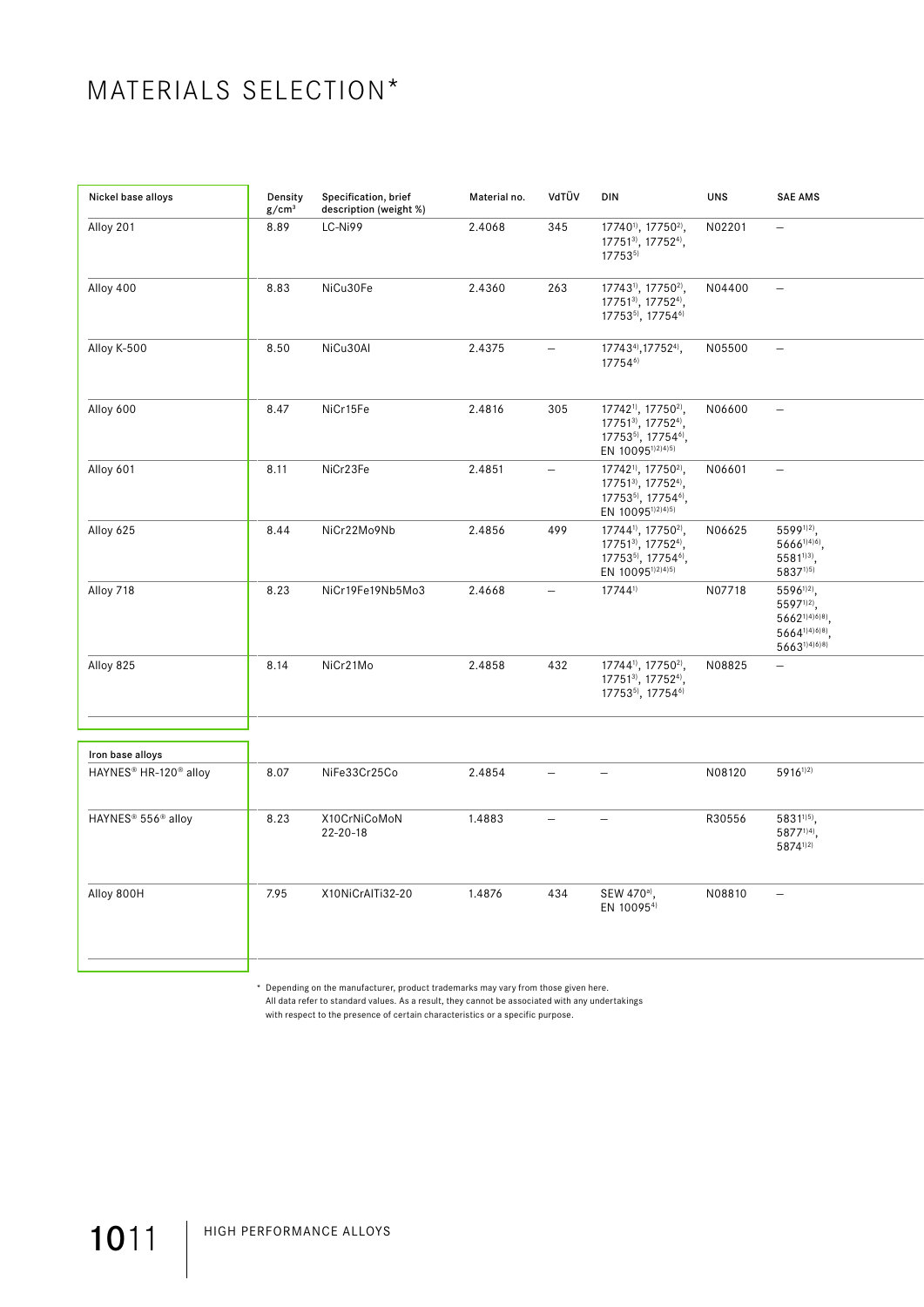## MATERIALS SELECTION\*

| Nickel base alloys                            | Density<br>g/cm <sup>3</sup> | Specification, brief<br>description (weight %) | Material no. | VdTÜV                    | DIN                                                                                                                              | <b>UNS</b> | <b>SAE AMS</b>                                                                               |
|-----------------------------------------------|------------------------------|------------------------------------------------|--------------|--------------------------|----------------------------------------------------------------------------------------------------------------------------------|------------|----------------------------------------------------------------------------------------------|
| Alloy 201                                     | 8.89                         | LC-Ni99                                        | 2.4068       | 345                      | 17740 <sup>1</sup> , 17750 <sup>2</sup> ,<br>17751 <sup>3</sup> , 17752 <sup>4</sup> ,<br>177535)                                | N02201     |                                                                                              |
| Alloy 400                                     | 8.83                         | NiCu30Fe                                       | 2.4360       | 263                      | 17743 <sup>1</sup> , 17750 <sup>2</sup> ,<br>17751 <sup>3</sup> , 17752 <sup>4</sup> ,<br>177535), 177546)                       | N04400     | $\overline{\phantom{m}}$                                                                     |
| Alloy K-500                                   | 8.50                         | NiCu30AI                                       | 2.4375       | $\qquad \qquad -$        | 177434, 177524,<br>177546)                                                                                                       | N05500     | $\overline{\phantom{0}}$                                                                     |
| Alloy 600                                     | 8.47                         | NiCr15Fe                                       | 2.4816       | 305                      | 17742 <sup>1</sup> , 17750 <sup>2</sup> ,<br>17751 <sup>3</sup> , 17752 <sup>4</sup> ,<br>177535), 177546),<br>EN 100951)2)4)5)  | N06600     | $\overline{\phantom{m}}$                                                                     |
| Alloy 601                                     | 8.11                         | NiCr23Fe                                       | 2.4851       | $\overline{\phantom{0}}$ | 17742 <sup>1</sup> , 17750 <sup>2</sup> ,<br>17751 <sup>3</sup> , 17752 <sup>4</sup> ,<br>177535), 177546),<br>EN 100951)2)4)5)  | N06601     | $\qquad \qquad -$                                                                            |
| Alloy 625                                     | 8.44                         | NiCr22Mo9Nb                                    | 2.4856       | 499                      | $17744^{11}$ , $17750^{21}$ ,<br>17751 <sup>3</sup> , 17752 <sup>4)</sup> ,<br>177535), 177546),<br>EN 10095 <sup>1)2)4)5)</sup> | N06625     | 55991)2),<br>$5666^{1}(4)$<br>$5581^{13}$ ,<br>583715)                                       |
| Alloy 718                                     | 8.23                         | NiCr19Fe19Nb5Mo3                               | 2.4668       | $\equiv$                 | $17744^{1}$                                                                                                                      | N07718     | 55961)2),<br>$5597^{1/2}$ ,<br>$5662^{1}(4)(6)8$ ,<br>$5664^{1 4 6 8}$ ,<br>$5663^{1 4 6 8}$ |
| Alloy 825                                     | 8.14                         | NiCr21Mo                                       | 2.4858       | 432                      | 17744 <sup>1)</sup> , 17750 <sup>2)</sup> ,<br>17751 <sup>3</sup> , 17752 <sup>4</sup> ,<br>177535), 177546)                     | N08825     | $\overline{\phantom{0}}$                                                                     |
|                                               |                              |                                                |              |                          |                                                                                                                                  |            |                                                                                              |
| Iron base alloys                              |                              |                                                |              |                          |                                                                                                                                  |            |                                                                                              |
| HAYNES <sup>®</sup> HR-120 <sup>®</sup> alloy | 8.07                         | NiFe33Cr25Co                                   | 2.4854       |                          |                                                                                                                                  | N08120     | 59161)2)                                                                                     |
| HAYNES <sup>®</sup> 556 <sup>®</sup> alloy    | 8.23                         | X10CrNiCoMoN<br>22-20-18                       | 1.4883       | $\overline{\phantom{0}}$ |                                                                                                                                  | R30556     | 58311,51,<br>587714),<br>58741)2)                                                            |
| Alloy 800H                                    | 7.95                         | X10NiCrAlTi32-20                               | 1.4876       | 434                      | SEW 470 <sup>a)</sup> ,<br>EN 100954)                                                                                            | N08810     | $\equiv$                                                                                     |
|                                               |                              |                                                |              |                          |                                                                                                                                  |            |                                                                                              |

\* Depending on the manufacturer, product trademarks may vary from those given here. All data refer to standard values. As a result, they cannot be associated with any undertakings

with respect to the presence of certain characteristics or a specific purpose.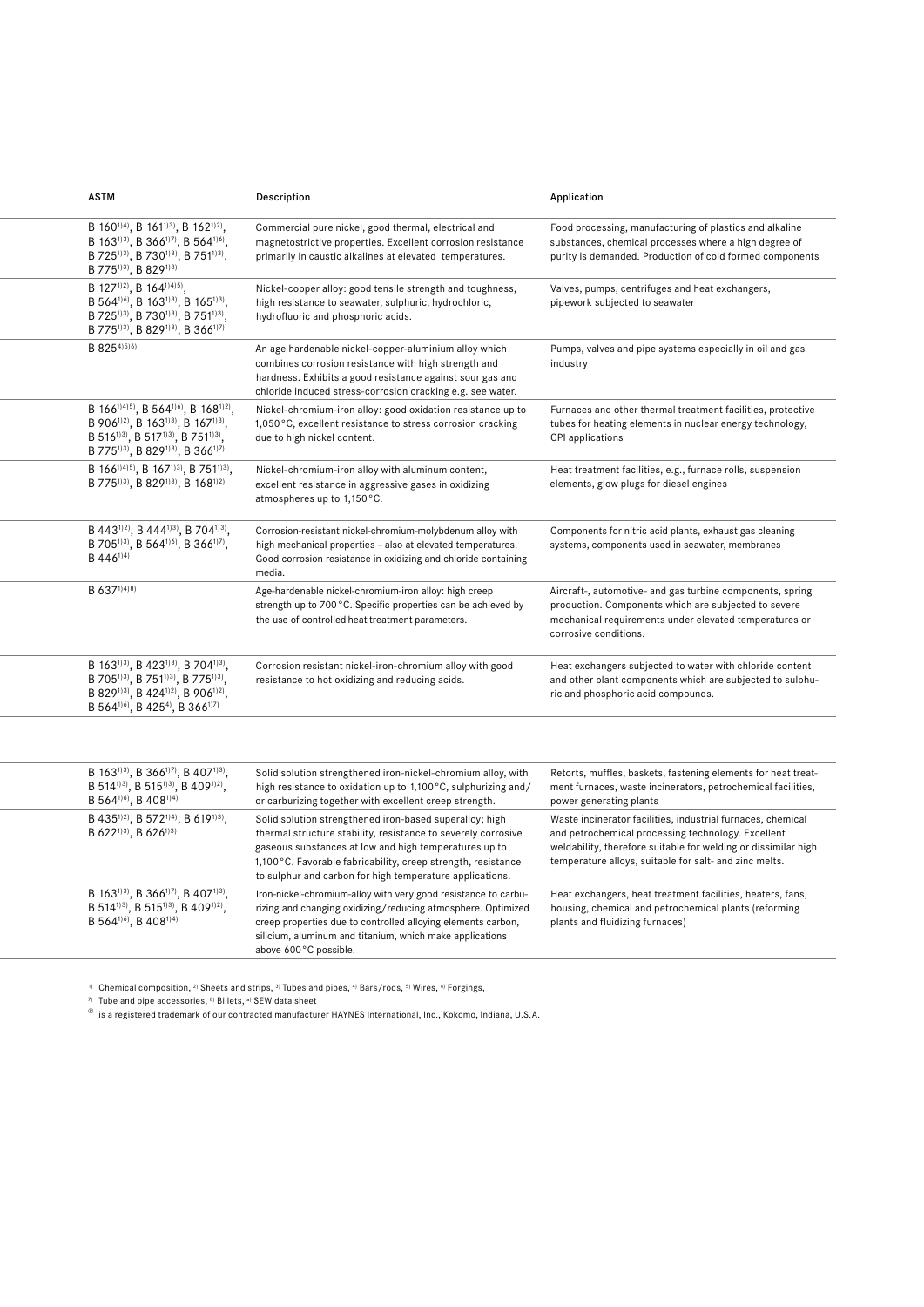| <b>ASTM</b>                                                                                                                                                                                                                                                     | Description                                                                                                                                                                                                                                                                                                    | Application                                                                                                                                                                                                                                   |
|-----------------------------------------------------------------------------------------------------------------------------------------------------------------------------------------------------------------------------------------------------------------|----------------------------------------------------------------------------------------------------------------------------------------------------------------------------------------------------------------------------------------------------------------------------------------------------------------|-----------------------------------------------------------------------------------------------------------------------------------------------------------------------------------------------------------------------------------------------|
| B 160 <sup>1</sup> , B 161 <sup>1</sup> , B 162 <sup>1</sup> ,<br>B 163 <sup>1)3</sup> , B 366 <sup>1)7</sup> , B 564 <sup>1)6</sup> ,<br>B 725 <sup>1)3)</sup> , B 730 <sup>1)3)</sup> , B 751 <sup>1)3)</sup> ,<br>B 77513, B 82913)                          | Commercial pure nickel, good thermal, electrical and<br>magnetostrictive properties. Excellent corrosion resistance<br>primarily in caustic alkalines at elevated temperatures.                                                                                                                                | Food processing, manufacturing of plastics and alkaline<br>substances, chemical processes where a high degree of<br>purity is demanded. Production of cold formed components                                                                  |
| B 127 <sup>1)2</sup> , B 164 <sup>1)4)5</sup> ,<br>B 564 <sup>1)6</sup> , B 163 <sup>1)3</sup> , B 165 <sup>1)3</sup> ,<br>B 72513, B 73013, B 75113,<br>B 7751)3), B 8291)3), B 3661)7)                                                                        | Nickel-copper alloy: good tensile strength and toughness,<br>high resistance to seawater, sulphuric, hydrochloric,<br>hydrofluoric and phosphoric acids.                                                                                                                                                       | Valves, pumps, centrifuges and heat exchangers,<br>pipework subjected to seawater                                                                                                                                                             |
| B 8254)5)6)                                                                                                                                                                                                                                                     | An age hardenable nickel-copper-aluminium alloy which<br>combines corrosion resistance with high strength and<br>hardness. Exhibits a good resistance against sour gas and<br>chloride induced stress-corrosion cracking e.g. see water.                                                                       | Pumps, valves and pipe systems especially in oil and gas<br>industry                                                                                                                                                                          |
| B 166 <sup>11415</sup> , B 564 <sup>116</sup> , B 168 <sup>112</sup> ,<br>B 906 <sup>1)2)</sup> , B 163 <sup>1)3)</sup> , B 167 <sup>1)3)</sup> ,<br>B 516 <sup>1)3)</sup> , B 517 <sup>1)3)</sup> , B 751 <sup>1)3)</sup> ,<br>B 7751)3), B 8291)3), B 3661)7) | Nickel-chromium-iron alloy: good oxidation resistance up to<br>1,050 °C, excellent resistance to stress corrosion cracking<br>due to high nickel content.                                                                                                                                                      | Furnaces and other thermal treatment facilities, protective<br>tubes for heating elements in nuclear energy technology,<br>CPI applications                                                                                                   |
| B 166 <sup>1</sup> /4 <sup>15</sup> , B 167 <sup>1</sup> /3 <sup>1</sup> , B 751 <sup>1</sup> /3 <sup>1</sup> ,<br>B 775 <sup>1)3)</sup> , B 829 <sup>1)3)</sup> , B 168 <sup>1)2)</sup>                                                                        | Nickel-chromium-iron alloy with aluminum content,<br>excellent resistance in aggressive gases in oxidizing<br>atmospheres up to 1,150 °C.                                                                                                                                                                      | Heat treatment facilities, e.g., furnace rolls, suspension<br>elements, glow plugs for diesel engines                                                                                                                                         |
| B 443 <sup>1)2)</sup> , B 444 <sup>1)3)</sup> , B 704 <sup>1)3)</sup> ,<br>B 705 <sup>1)3)</sup> , B 564 <sup>1)6)</sup> , B 366 <sup>1)7)</sup> ,<br>$B$ 446 <sup>1)4)</sup>                                                                                   | Corrosion-resistant nickel-chromium-molybdenum alloy with<br>high mechanical properties - also at elevated temperatures.<br>Good corrosion resistance in oxidizing and chloride containing<br>media.                                                                                                           | Components for nitric acid plants, exhaust gas cleaning<br>systems, components used in seawater, membranes                                                                                                                                    |
| B $637^{1/48}$                                                                                                                                                                                                                                                  | Age-hardenable nickel-chromium-iron alloy: high creep<br>strength up to 700 °C. Specific properties can be achieved by<br>the use of controlled heat treatment parameters.                                                                                                                                     | Aircraft-, automotive- and gas turbine components, spring<br>production. Components which are subjected to severe<br>mechanical requirements under elevated temperatures or<br>corrosive conditions.                                          |
| B 163 <sup>1)3)</sup> , B 423 <sup>1)3)</sup> , B 704 <sup>1)3)</sup> ,<br>B 705 <sup>1)3)</sup> , B 751 <sup>1)3)</sup> , B 775 <sup>1)3)</sup> ,<br>B 8291)3), B 4241)2), B 9061)2),<br>B 564 <sup>1)6</sup> , B 425 <sup>4</sup> , B 366 <sup>1)7)</sup>     | Corrosion resistant nickel-iron-chromium alloy with good<br>resistance to hot oxidizing and reducing acids.                                                                                                                                                                                                    | Heat exchangers subjected to water with chloride content<br>and other plant components which are subjected to sulphu-<br>ric and phosphoric acid compounds.                                                                                   |
|                                                                                                                                                                                                                                                                 |                                                                                                                                                                                                                                                                                                                |                                                                                                                                                                                                                                               |
| B 163 <sup>1)3)</sup> , B 366 <sup>1)7)</sup> , B 407 <sup>1)3)</sup> ,<br>B 514 <sup>1)3)</sup> , B 515 <sup>1)3)</sup> , B 409 <sup>1)2)</sup> ,<br>B 564 <sup>116</sup> , B 408 <sup>114</sup>                                                               | Solid solution strengthened iron-nickel-chromium alloy, with<br>high resistance to oxidation up to 1,100°C, sulphurizing and/<br>or carburizing together with excellent creep strength.                                                                                                                        | Retorts, muffles, baskets, fastening elements for heat treat-<br>ment furnaces, waste incinerators, petrochemical facilities,<br>power generating plants                                                                                      |
| B 4351)2), B 5721)4), B 6191)3),<br>B 622 <sup>1)3)</sup> , B 626 <sup>1)3)</sup>                                                                                                                                                                               | Solid solution strengthened iron-based superalloy; high<br>thermal structure stability, resistance to severely corrosive<br>gaseous substances at low and high temperatures up to<br>1,100 °C. Favorable fabricability, creep strength, resistance<br>to sulphur and carbon for high temperature applications. | Waste incinerator facilities, industrial furnaces, chemical<br>and petrochemical processing technology. Excellent<br>weldability, therefore suitable for welding or dissimilar high<br>temperature alloys, suitable for salt- and zinc melts. |
| B 163 <sup>1)3)</sup> , B 366 <sup>1)7)</sup> , B 407 <sup>1)3)</sup> ,<br>B 514 <sup>1)3)</sup> , B 515 <sup>1)3)</sup> , B 409 <sup>1)2)</sup> ,<br>B 5641)6), B 4081)4)                                                                                      | Iron-nickel-chromium-alloy with very good resistance to carbu-<br>rizing and changing oxidizing/reducing atmosphere. Optimized<br>creep properties due to controlled alloying elements carbon,<br>silicium, aluminum and titanium, which make applications<br>above 600°C possible.                            | Heat exchangers, heat treatment facilities, heaters, fans,<br>housing, chemical and petrochemical plants (reforming<br>plants and fluidizing furnaces)                                                                                        |

<sup>1)</sup> Chemical composition, <sup>2)</sup> Sheets and strips, <sup>3)</sup> Tubes and pipes, <sup>4)</sup> Bars/rods, <sup>5)</sup> Wires, <sup>6)</sup> Forgings,

<sup>7)</sup> Tube and pipe accessories, <sup>a</sup>) Billets, <sup>a)</sup> SEW data sheet<br>® is a registered trademark of our contracted manufacturer HAYNES International, Inc., Kokomo, Indiana, U.S.A.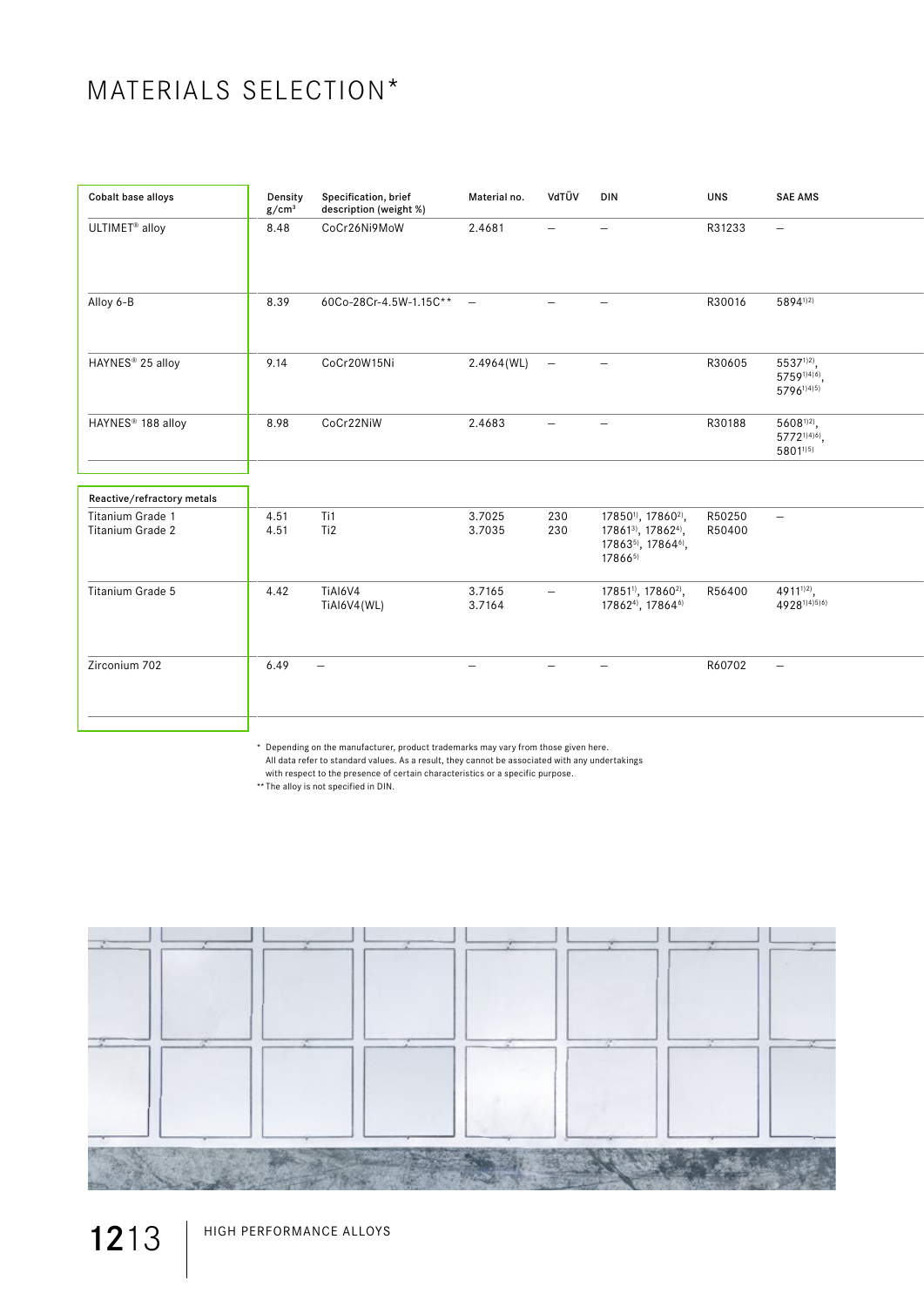## MATERIALS SELECTION\*

| Cobalt base alloys                   | Density<br>g/cm <sup>3</sup> | Specification, brief<br>description (weight %) | Material no.             | VdTÜV                    | <b>DIN</b>                                                                                     | <b>UNS</b>       | <b>SAE AMS</b>                         |
|--------------------------------------|------------------------------|------------------------------------------------|--------------------------|--------------------------|------------------------------------------------------------------------------------------------|------------------|----------------------------------------|
| ULTIMET <sup>®</sup> alloy           | 8.48                         | CoCr26Ni9MoW                                   | 2.4681                   |                          |                                                                                                | R31233           | $\overline{\phantom{m}}$               |
| Alloy 6-B                            | 8.39                         | 60Co-28Cr-4.5W-1.15C** -                       |                          |                          |                                                                                                | R30016           | 58941)2)                               |
| HAYNES <sup>®</sup> 25 alloy         | 9.14                         | CoCr20W15Ni                                    | 2.4964(WL)               | $\overline{\phantom{m}}$ | $\overline{\phantom{m}}$                                                                       | R30605           | 55371)2),<br>57591)4)6),<br>57961)4)5) |
| HAYNES <sup>®</sup> 188 alloy        | 8.98                         | CoCr22NiW                                      | 2.4683                   |                          |                                                                                                | R30188           | 56081)2),<br>57721)4)6),<br>58011)5)   |
| Reactive/refractory metals           |                              |                                                |                          |                          |                                                                                                |                  |                                        |
| Titanium Grade 1<br>Titanium Grade 2 | 4.51<br>4.51                 | Ti1<br>Ti <sub>2</sub>                         | 3.7025<br>3.7035         | 230<br>230               | 17850 <sup>1</sup> , 17860 <sup>2</sup> ,<br>178613), 178624),<br>178635), 178646),<br>178665) | R50250<br>R50400 | $\overline{\phantom{0}}$               |
| Titanium Grade 5                     | 4.42                         | TiAI6V4<br>TiAI6V4(WL)                         | 3.7165<br>3.7164         | -                        | 17851 <sup>1</sup> , 17860 <sup>2</sup> ,<br>178624), 178646)                                  | R56400           | 49111121,<br>49281)4)5)6)              |
| Zirconium 702                        | 6.49                         | $\overline{\phantom{m}}$                       | $\overline{\phantom{0}}$ |                          |                                                                                                | R60702           | $\overline{\phantom{m}}$               |

\* Depending on the manufacturer, product trademarks may vary from those given here.

All data refer to standard values. As a result, they cannot be associated with any undertakings

with respect to the presence of certain characteristics or a specific purpose.

\*\* The alloy is not specified in DIN.

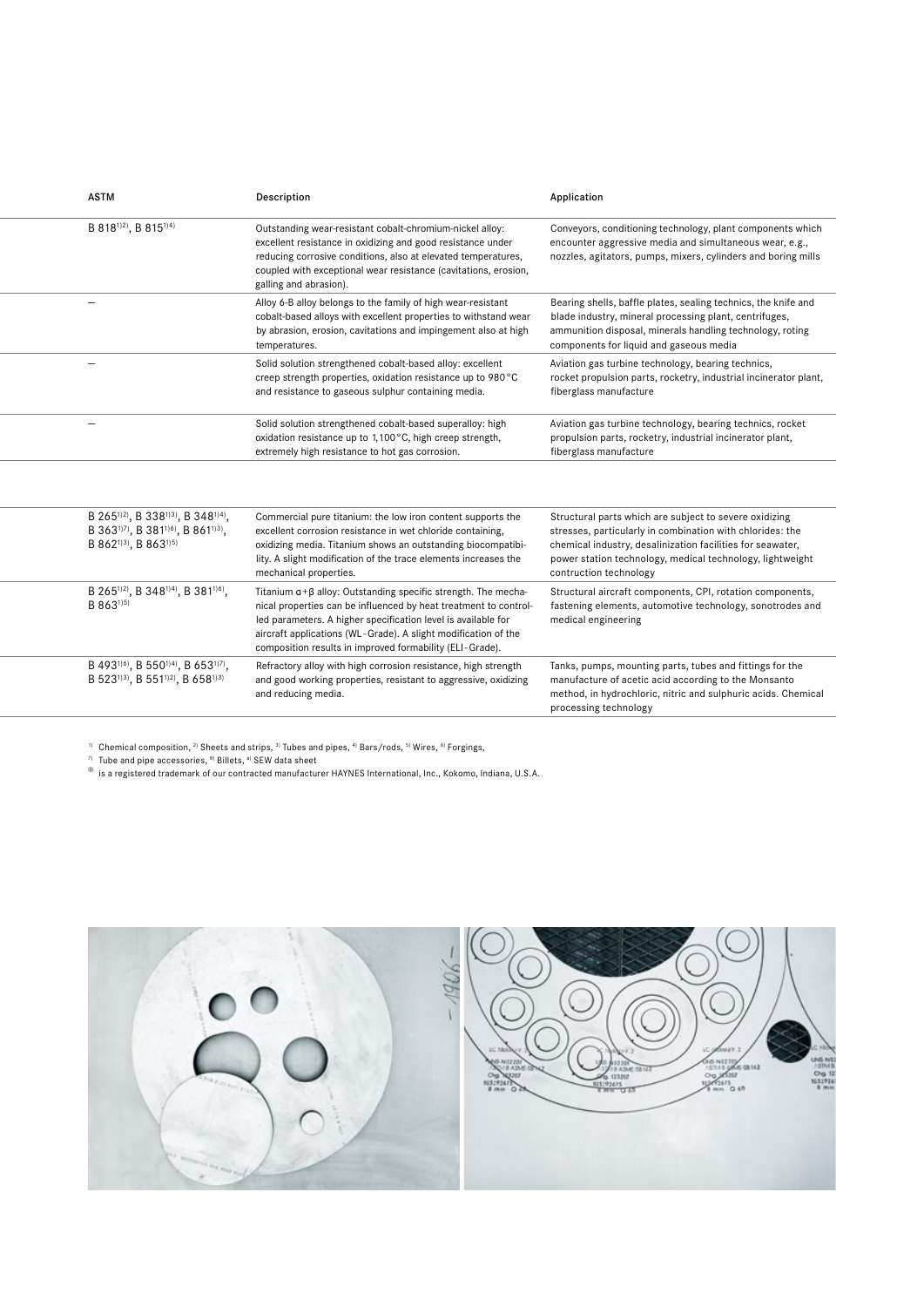| <b>ASTM</b>                                                                                                                                                                                        | Description                                                                                                                                                                                                                                                                                                                              | Application                                                                                                                                                                                                                                                              |  |  |
|----------------------------------------------------------------------------------------------------------------------------------------------------------------------------------------------------|------------------------------------------------------------------------------------------------------------------------------------------------------------------------------------------------------------------------------------------------------------------------------------------------------------------------------------------|--------------------------------------------------------------------------------------------------------------------------------------------------------------------------------------------------------------------------------------------------------------------------|--|--|
| B 818 <sup>1)2)</sup> , B 815 <sup>1)4)</sup>                                                                                                                                                      | Outstanding wear-resistant cobalt-chromium-nickel alloy:<br>excellent resistance in oxidizing and good resistance under<br>reducing corrosive conditions, also at elevated temperatures,<br>coupled with exceptional wear resistance (cavitations, erosion,<br>galling and abrasion).                                                    | Conveyors, conditioning technology, plant components which<br>encounter aggressive media and simultaneous wear, e.g.,<br>nozzles, agitators, pumps, mixers, cylinders and boring mills                                                                                   |  |  |
|                                                                                                                                                                                                    | Alloy 6-B alloy belongs to the family of high wear-resistant<br>cobalt-based alloys with excellent properties to withstand wear<br>by abrasion, erosion, cavitations and impingement also at high<br>temperatures.                                                                                                                       | Bearing shells, baffle plates, sealing technics, the knife and<br>blade industry, mineral processing plant, centrifuges,<br>ammunition disposal, minerals handling technology, roting<br>components for liquid and gaseous media                                         |  |  |
|                                                                                                                                                                                                    | Solid solution strengthened cobalt-based alloy: excellent<br>creep strength properties, oxidation resistance up to 980°C<br>and resistance to gaseous sulphur containing media.                                                                                                                                                          | Aviation gas turbine technology, bearing technics,<br>rocket propulsion parts, rocketry, industrial incinerator plant,<br>fiberglass manufacture                                                                                                                         |  |  |
|                                                                                                                                                                                                    | Solid solution strengthened cobalt-based superalloy: high<br>oxidation resistance up to 1,100°C, high creep strength,<br>extremely high resistance to hot gas corrosion.                                                                                                                                                                 | Aviation gas turbine technology, bearing technics, rocket<br>propulsion parts, rocketry, industrial incinerator plant,<br>fiberglass manufacture                                                                                                                         |  |  |
|                                                                                                                                                                                                    |                                                                                                                                                                                                                                                                                                                                          |                                                                                                                                                                                                                                                                          |  |  |
| B 265 <sup>1)2)</sup> , B 338 <sup>1)3)</sup> , B 348 <sup>1)4)</sup> ,<br>B 363 <sup>1)7)</sup> , B 381 <sup>1)6</sup> , B 861 <sup>1)3)</sup> ,<br>B 862 <sup>1)3)</sup> , B 863 <sup>1)5)</sup> | Commercial pure titanium: the low iron content supports the<br>excellent corrosion resistance in wet chloride containing,<br>oxidizing media. Titanium shows an outstanding biocompatibi-<br>lity. A slight modification of the trace elements increases the<br>mechanical properties.                                                   | Structural parts which are subject to severe oxidizing<br>stresses, particularly in combination with chlorides: the<br>chemical industry, desalinization facilities for seawater,<br>power station technology, medical technology, lightweight<br>contruction technology |  |  |
| B 265 <sup>1)2)</sup> , B 348 <sup>1)4)</sup> , B 381 <sup>1)6)</sup> ,<br>B 8631)5)                                                                                                               | Titanium $a + \beta$ alloy: Outstanding specific strength. The mecha-<br>nical properties can be influenced by heat treatment to control-<br>led parameters. A higher specification level is available for<br>aircraft applications (WL-Grade). A slight modification of the<br>composition results in improved formability (ELI-Grade). | Structural aircraft components, CPI, rotation components,<br>fastening elements, automotive technology, sonotrodes and<br>medical engineering                                                                                                                            |  |  |
| B 493 <sup>1)6</sup> , B 550 <sup>1)4</sup> , B 653 <sup>1)7)</sup> ,<br>B 5231)3), B 5511)2), B 6581)3)                                                                                           | Refractory alloy with high corrosion resistance, high strength<br>and good working properties, resistant to aggressive, oxidizing<br>and reducing media.                                                                                                                                                                                 | Tanks, pumps, mounting parts, tubes and fittings for the<br>manufacture of acetic acid according to the Monsanto<br>method, in hydrochloric, nitric and sulphuric acids. Chemical<br>processing technology                                                               |  |  |

<sup>1)</sup> Chemical composition, <sup>2)</sup> Sheets and strips, <sup>3)</sup> Tubes and pipes, <sup>4)</sup> Bars/rods, <sup>5)</sup> Wires, <sup>6)</sup> Forgings,

<sup>7)</sup> Tube and pipe accessories, <sup>a</sup>) Billets, <sup>a)</sup> SEW data sheet<br>® is a registered trademark of our contracted manufacturer HAYNES International, Inc., Kokomo, Indiana, U.S.A.

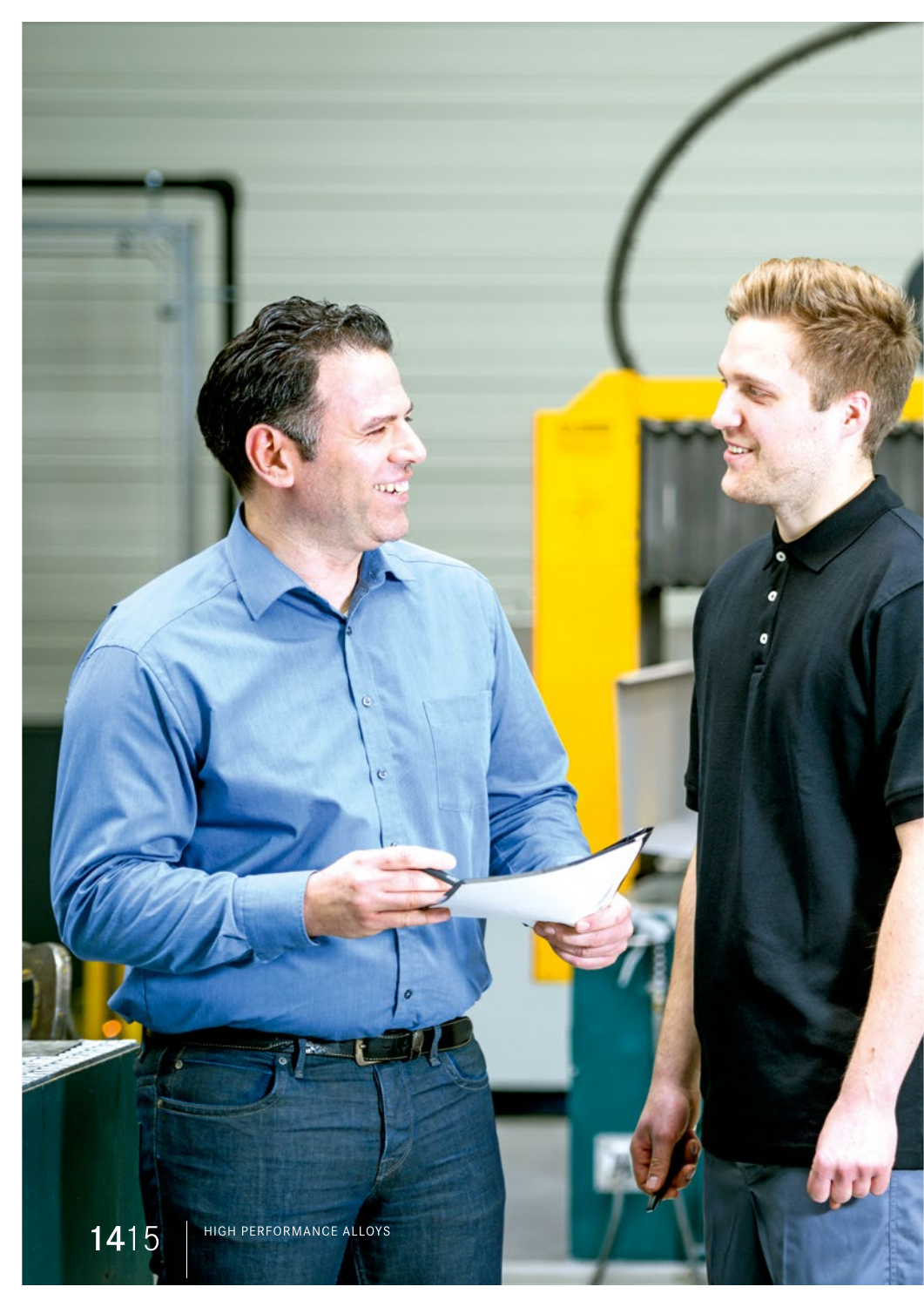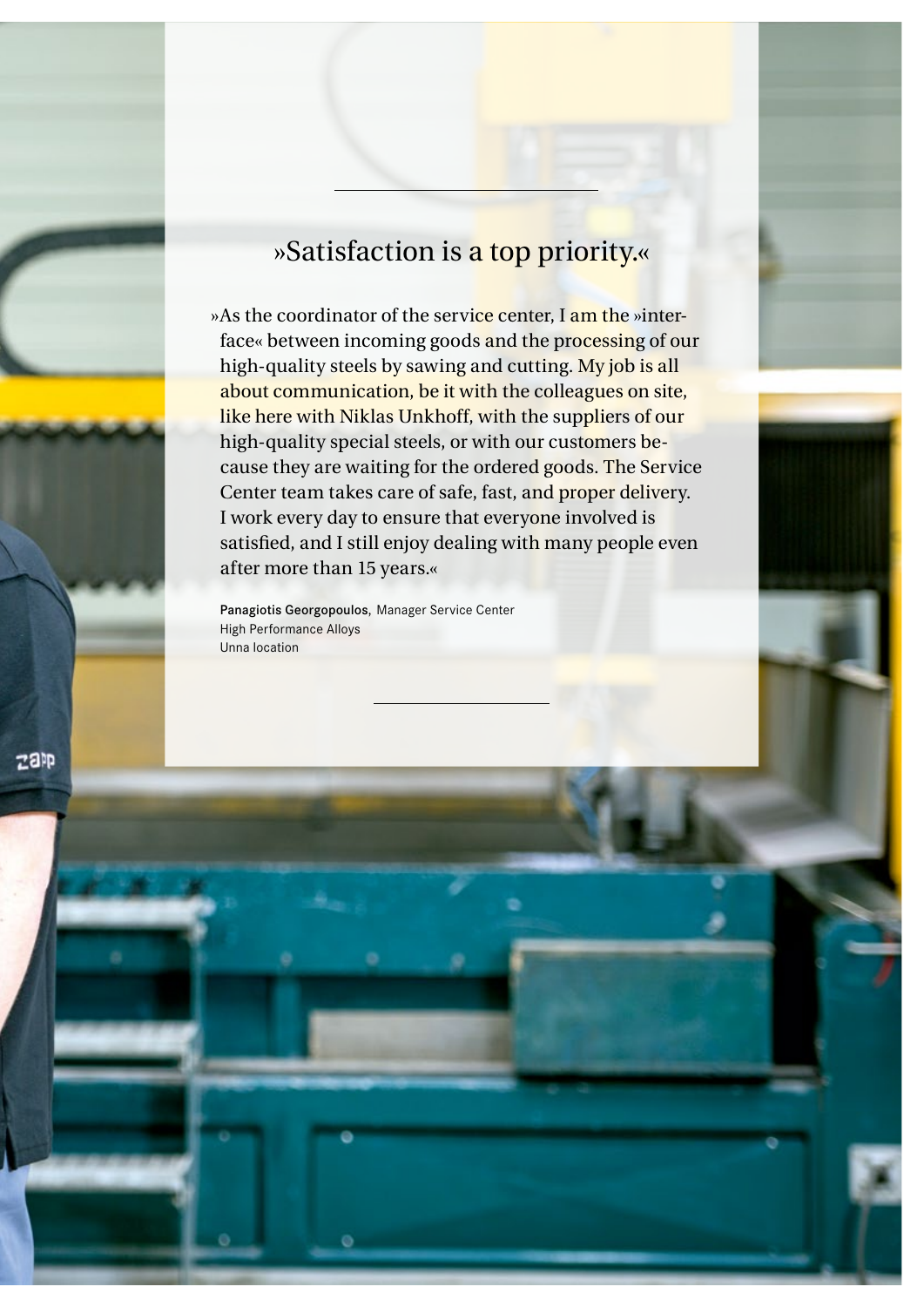### »Satisfaction is a top priority.«

»As the coordinator of the servi<mark>ce center, I am the</mark> »interface« between incoming goods and the processing of our high-quality steels by sawing and cutting. My job is all about communication, be it with the colleagues on site, like here with Niklas Unkhoff, with the suppliers of our high-quality special steels, or with our customers because they are waiting for the ordered goods. The Service Center team takes care of safe, fast, and proper delivery. I work every day to ensure that everyone involved is satisfied, and I still enjoy dealing with many people even after more than 15 years.«

Panagiotis Georgopoulos, Manager Service Center High Performance Alloys Unna location

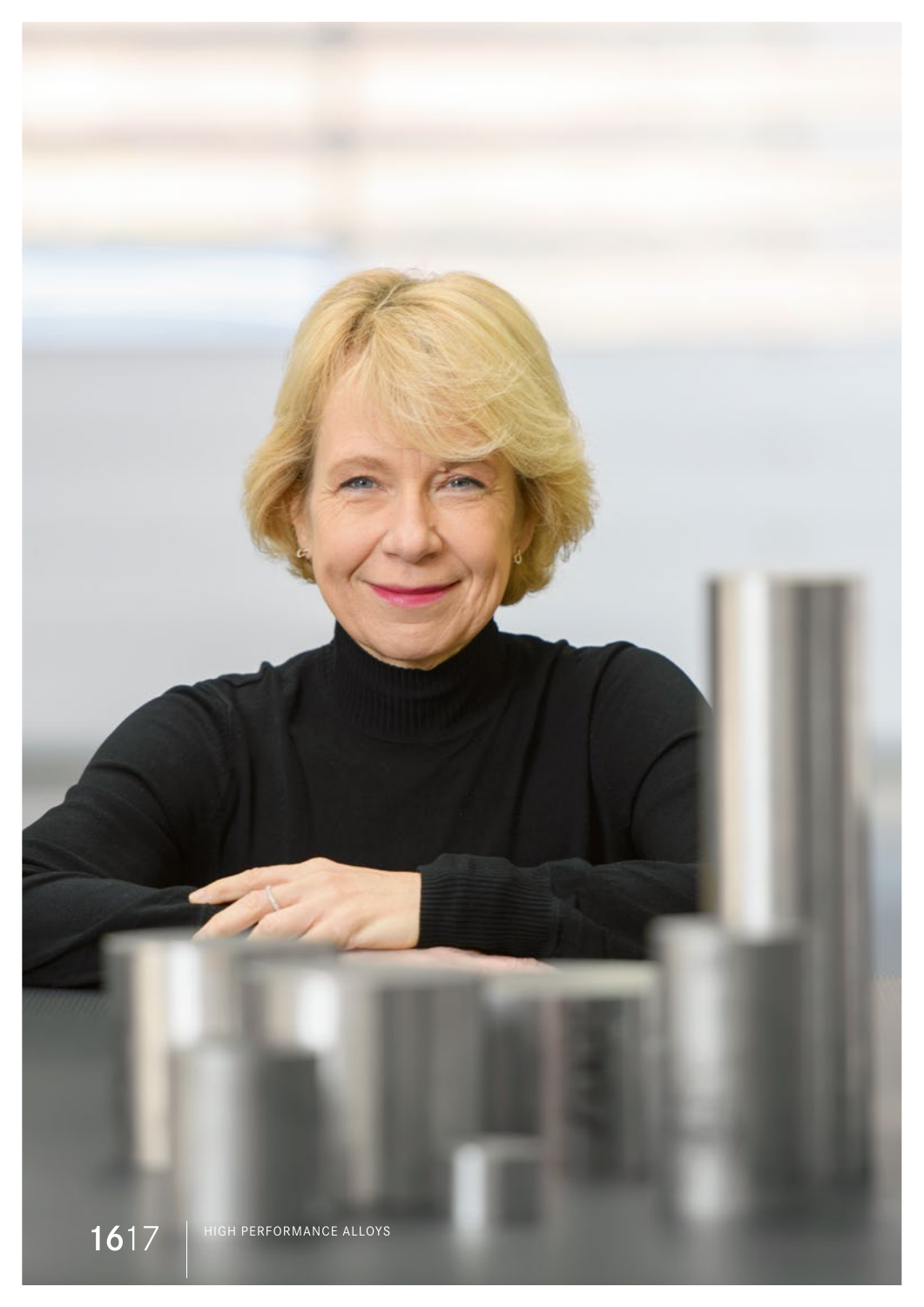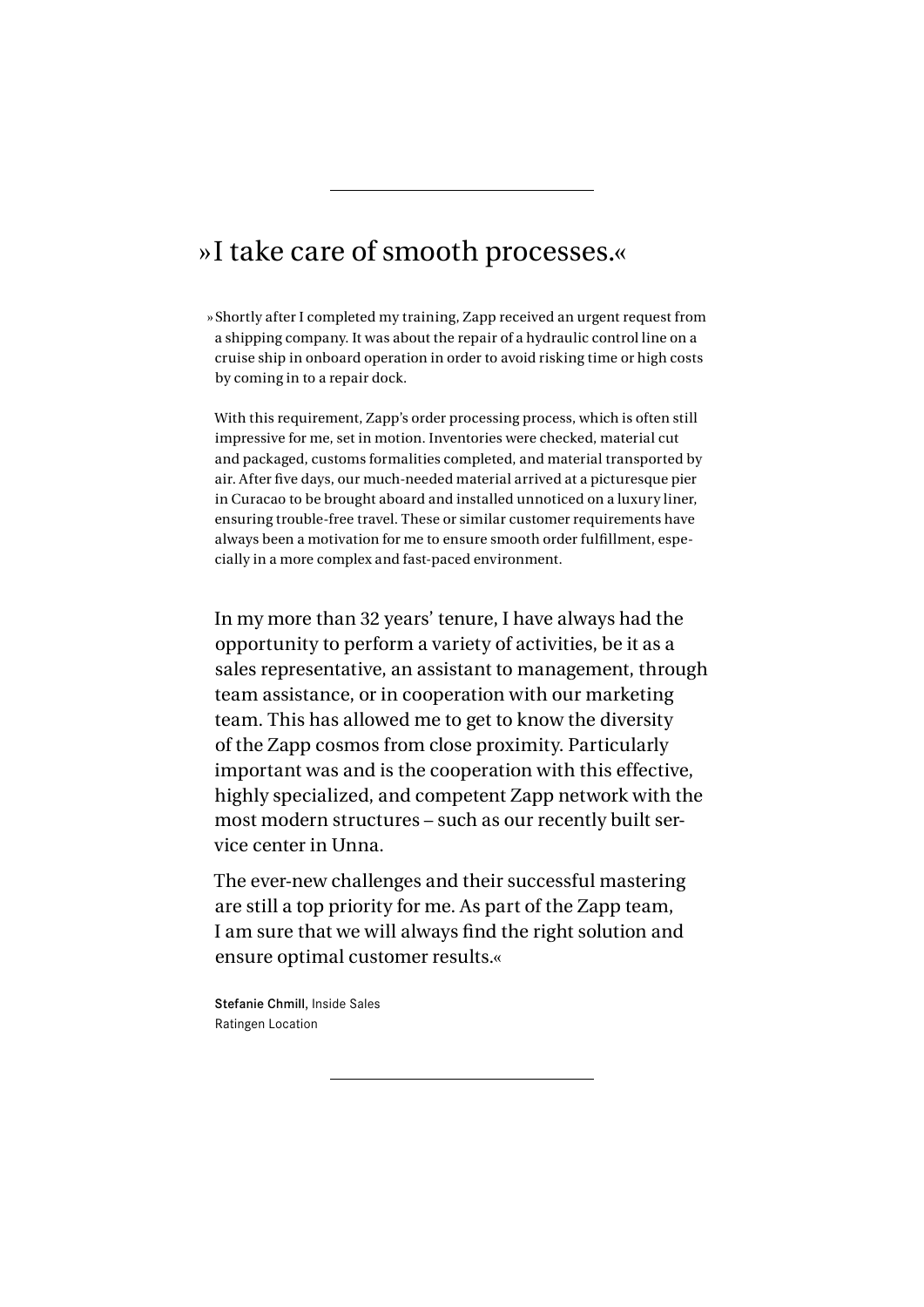#### I take care of smooth processes.« »

Shortly after I completed my training, Zapp received an urgent request from »a shipping company. It was about the repair of a hydraulic control line on a cruise ship in onboard operation in order to avoid risking time or high costs by coming in to a repair dock.

With this requirement, Zapp's order processing process, which is often still impressive for me, set in motion. Inventories were checked, material cut and packaged, customs formalities completed, and material transported by air. After five days, our much-needed material arrived at a picturesque pier in Curacao to be brought aboard and installed unnoticed on a luxury liner, ensuring trouble-free travel. These or similar customer requirements have always been a motivation for me to ensure smooth order fulfillment, especially in a more complex and fast-paced environment.

In my more than 32 years' tenure, I have always had the opportunity to perform a variety of activities, be it as a sales representative, an assistant to management, through team assistance, or in cooperation with our marketing team. This has allowed me to get to know the diversity of the Zapp cosmos from close proximity. Particularly important was and is the cooperation with this effective, highly specialized, and competent Zapp network with the most modern structures – such as our recently built service center in Unna.

The ever-new challenges and their successful mastering are still a top priority for me. As part of the Zapp team, I am sure that we will always find the right solution and ensure optimal customer results.«

Stefanie Chmill, Inside Sales Ratingen Location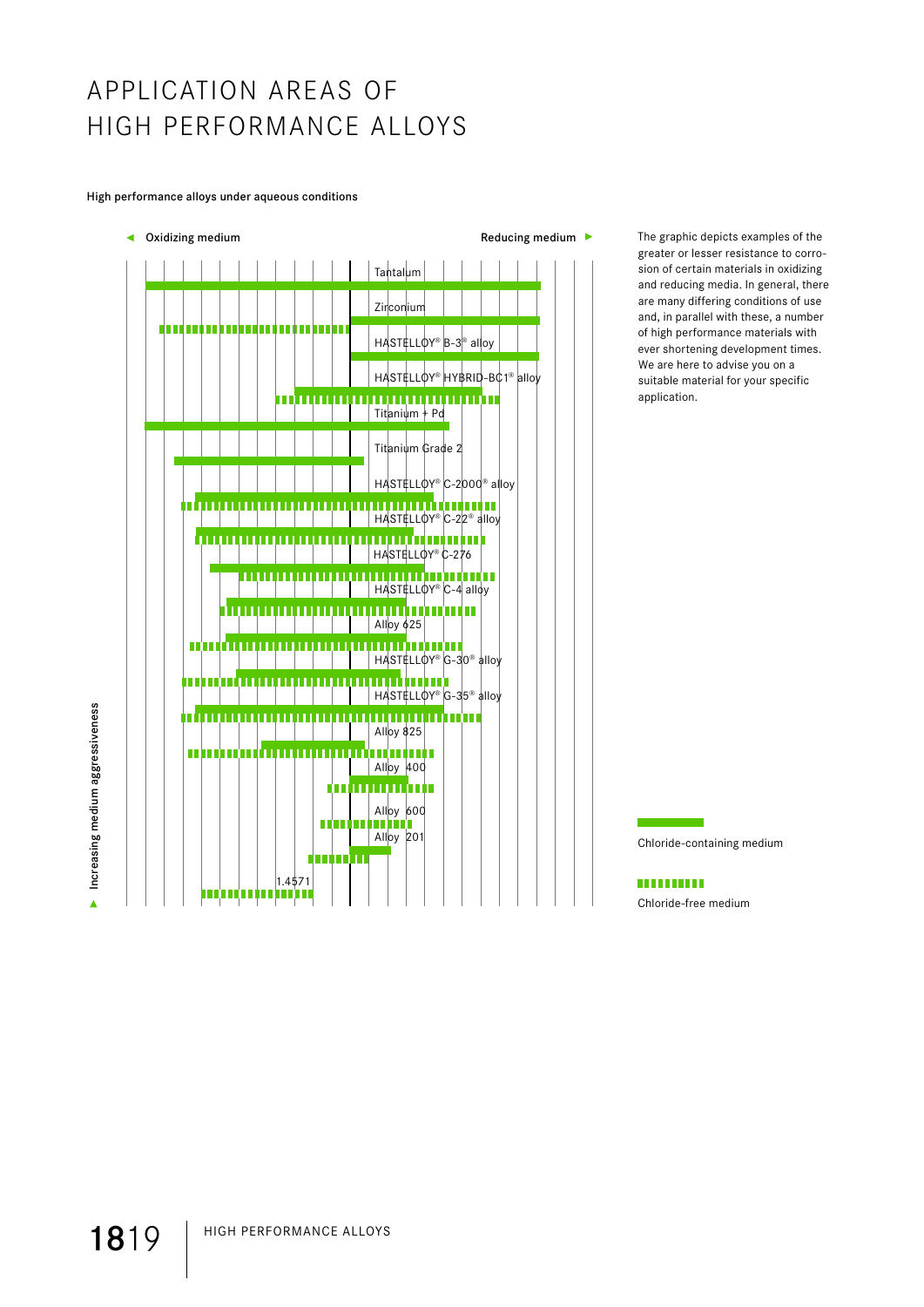# APPLICATION AREAS OF HIGH PERFORMANCE ALLOYS

#### High performance alloys under aqueous conditions



The graphic depicts examples of the greater or lesser resistance to corrosion of certain materials in oxidizing and reducing media. In general, there are many differing conditions of use and, in parallel with these, a number of high performance materials with ever shortening development times. We are here to advise you on a suitable material for your specific application.

Chloride-containing medium

#### ,,,,,,,,,,

Chloride-free medium

 $\blacktriangle$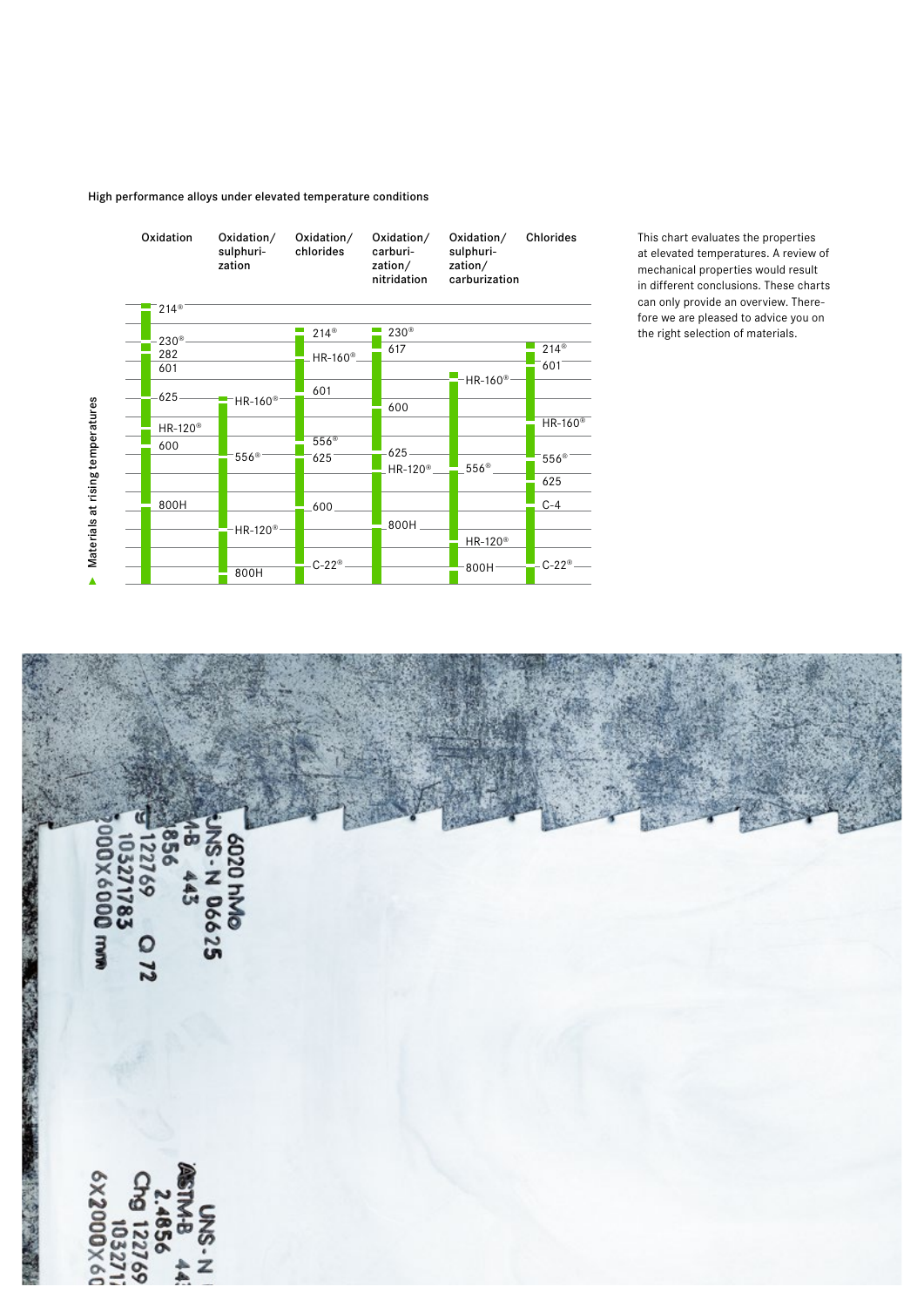High performance alloys under elevated temperature conditions



This chart evaluates the properties at elevated temperatures. A review of mechanical properties would result in different conclusions. These charts can only provide an overview. Therefore we are pleased to advice you on the right selection of materials.